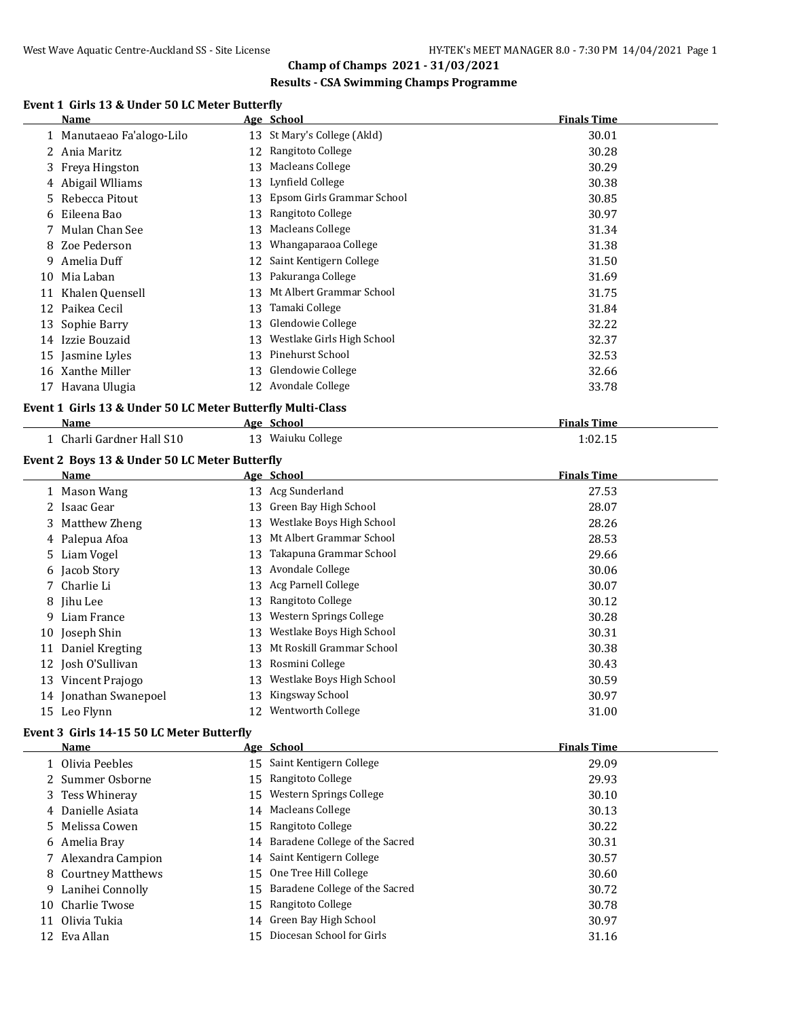### **Results - CSA Swimming Champs Programme**

# **Event 1 Girls 13 & Under 50 LC Meter Butterfly**

|    | Name                      |    | Age School                  | <b>Finals Time</b> |
|----|---------------------------|----|-----------------------------|--------------------|
|    | 1 Manutaeao Fa'alogo-Lilo |    | 13 St Mary's College (Akld) | 30.01              |
|    | 2 Ania Maritz             | 12 | Rangitoto College           | 30.28              |
|    | 3 Freya Hingston          | 13 | Macleans College            | 30.29              |
|    | 4 Abigail Wiliams         | 13 | Lynfield College            | 30.38              |
|    | 5 Rebecca Pitout          | 13 | Epsom Girls Grammar School  | 30.85              |
| 6  | Eileena Bao               | 13 | Rangitoto College           | 30.97              |
|    | Mulan Chan See            | 13 | Macleans College            | 31.34              |
| 8  | Zoe Pederson              | 13 | Whangaparaoa College        | 31.38              |
| 9  | Amelia Duff               | 12 | Saint Kentigern College     | 31.50              |
| 10 | Mia Laban                 | 13 | Pakuranga College           | 31.69              |
| 11 | Khalen Quensell           | 13 | Mt Albert Grammar School    | 31.75              |
| 12 | Paikea Cecil              | 13 | Tamaki College              | 31.84              |
|    | 13 Sophie Barry           | 13 | Glendowie College           | 32.22              |
| 14 | Izzie Bouzaid             | 13 | Westlake Girls High School  | 32.37              |
|    | 15 Jasmine Lyles          | 13 | Pinehurst School            | 32.53              |
| 16 | Xanthe Miller             | 13 | Glendowie College           | 32.66              |
| 17 | Havana Ulugia             | 12 | Avondale College            | 33.78              |
|    |                           |    |                             |                    |

# **Event 1 Girls 13 & Under 50 LC Meter Butterfly Multi-Class**

| Name                             | Age           | School         | Finals Time |
|----------------------------------|---------------|----------------|-------------|
| i Gardner Hall S10-<br>Charli Ga | 1 2<br>$\sim$ | Waiuku College | $1:02.1^r$  |

## **Event 2 Boys 13 & Under 50 LC Meter Butterfly**

 $\overline{a}$ 

|    | Name                  |    | Age School                | <b>Finals Time</b> |
|----|-----------------------|----|---------------------------|--------------------|
|    | 1 Mason Wang          |    | 13 Acg Sunderland         | 27.53              |
|    | 2 Isaac Gear          | 13 | Green Bay High School     | 28.07              |
|    | 3 Matthew Zheng       | 13 | Westlake Boys High School | 28.26              |
|    | 4 Palepua Afoa        | 13 | Mt Albert Grammar School  | 28.53              |
|    | 5 Liam Vogel          | 13 | Takapuna Grammar School   | 29.66              |
|    | 6 Jacob Story         | 13 | Avondale College          | 30.06              |
|    | 7 Charlie Li          | 13 | Acg Parnell College       | 30.07              |
|    | 8 Jihu Lee            | 13 | Rangitoto College         | 30.12              |
| 9. | Liam France           | 13 | Western Springs College   | 30.28              |
|    | 10 Joseph Shin        | 13 | Westlake Boys High School | 30.31              |
| 11 | Daniel Kregting       | 13 | Mt Roskill Grammar School | 30.38              |
| 12 | Josh O'Sullivan       | 13 | Rosmini College           | 30.43              |
|    | 13 Vincent Prajogo    | 13 | Westlake Boys High School | 30.59              |
|    | 14 Jonathan Swanepoel | 13 | Kingsway School           | 30.97              |
|    | 15 Leo Flynn          | 12 | Wentworth College         | 31.00              |

#### **Event 3 Girls 14-15 50 LC Meter Butterfly**

|    | Name                | Age School                        | <b>Finals Time</b> |
|----|---------------------|-----------------------------------|--------------------|
|    | 1 Olivia Peebles    | 15 Saint Kentigern College        | 29.09              |
|    | 2 Summer Osborne    | 15 Rangitoto College              | 29.93              |
|    | 3 Tess Whineray     | 15 Western Springs College        | 30.10              |
|    | 4 Danielle Asiata   | 14 Macleans College               | 30.13              |
|    | 5 Melissa Cowen     | 15 Rangitoto College              | 30.22              |
|    | 6 Amelia Bray       | 14 Baradene College of the Sacred | 30.31              |
|    | 7 Alexandra Campion | 14 Saint Kentigern College        | 30.57              |
|    | 8 Courtney Matthews | 15 One Tree Hill College          | 30.60              |
|    | 9 Lanihei Connolly  | 15 Baradene College of the Sacred | 30.72              |
|    | 10 Charlie Twose    | 15 Rangitoto College              | 30.78              |
| 11 | Olivia Tukia        | 14 Green Bay High School          | 30.97              |
|    | 12 Eva Allan        | Diocesan School for Girls         | 31.16              |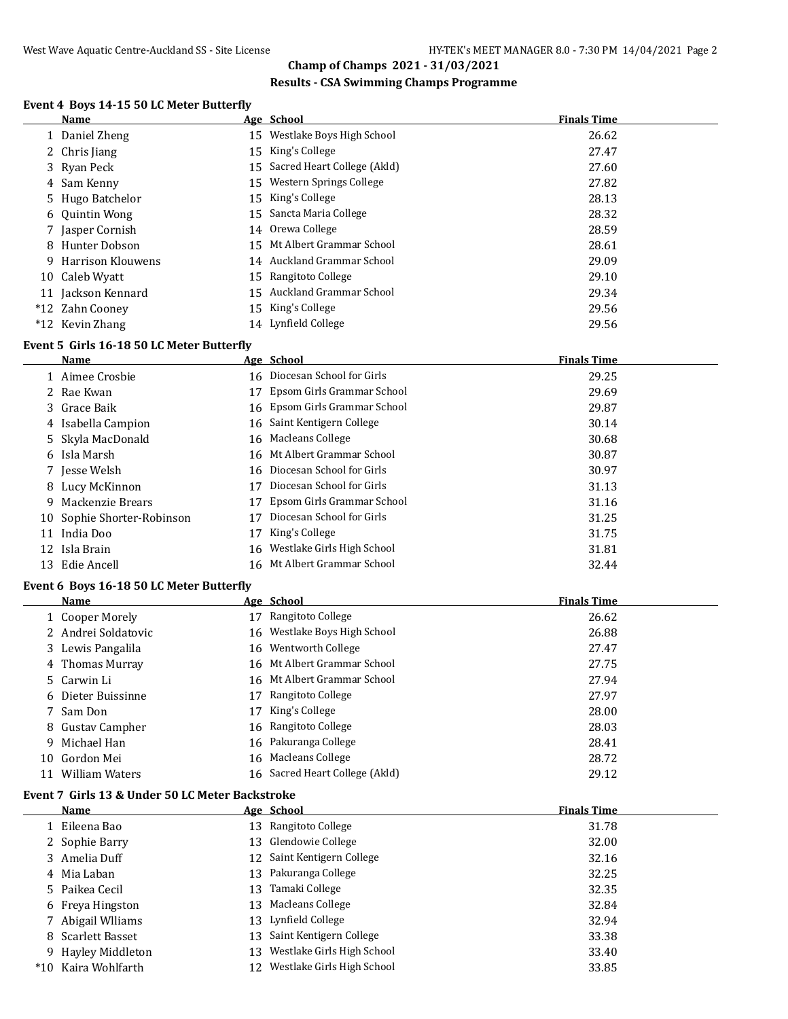## **Results - CSA Swimming Champs Programme**

# **Event 4 Boys 14-15 50 LC Meter Butterfly**

| Name                | Age School                     | <b>Finals Time</b> |
|---------------------|--------------------------------|--------------------|
| 1 Daniel Zheng      | 15 Westlake Boys High School   | 26.62              |
| 2 Chris Jiang       | 15 King's College              | 27.47              |
| 3 Ryan Peck         | 15 Sacred Heart College (Akld) | 27.60              |
| 4 Sam Kenny         | 15 Western Springs College     | 27.82              |
| 5 Hugo Batchelor    | 15 King's College              | 28.13              |
| 6 Quintin Wong      | 15 Sancta Maria College        | 28.32              |
| 7 Jasper Cornish    | 14 Orewa College               | 28.59              |
| 8 Hunter Dobson     | 15 Mt Albert Grammar School    | 28.61              |
| 9 Harrison Klouwens | 14 Auckland Grammar School     | 29.09              |
| 10 Caleb Wyatt      | 15 Rangitoto College           | 29.10              |
| 11 Jackson Kennard  | 15 Auckland Grammar School     | 29.34              |
| *12 Zahn Cooney     | 15 King's College              | 29.56              |
| *12 Kevin Zhang     | 14 Lynfield College            | 29.56              |

#### **Event 5 Girls 16-18 50 LC Meter Butterfly**

 $\overline{a}$ 

|    | <b>Name</b>                |    | Age School                    | <b>Finals Time</b> |
|----|----------------------------|----|-------------------------------|--------------------|
|    | 1 Aimee Crosbie            |    | 16 Diocesan School for Girls  | 29.25              |
|    | 2 Rae Kwan                 |    | 17 Epsom Girls Grammar School | 29.69              |
|    | 3 Grace Baik               |    | 16 Epsom Girls Grammar School | 29.87              |
|    | 4 Isabella Campion         |    | 16 Saint Kentigern College    | 30.14              |
|    | 5 Skyla MacDonald          |    | 16 Macleans College           | 30.68              |
|    | 6 Isla Marsh               |    | 16 Mt Albert Grammar School   | 30.87              |
|    | 7 Jesse Welsh              |    | 16 Diocesan School for Girls  | 30.97              |
|    | 8 Lucy McKinnon            | 17 | Diocesan School for Girls     | 31.13              |
| 9  | Mackenzie Brears           | 17 | Epsom Girls Grammar School    | 31.16              |
|    | 10 Sophie Shorter-Robinson | 17 | Diocesan School for Girls     | 31.25              |
| 11 | India Doo                  | 17 | King's College                | 31.75              |
|    | 12 Isla Brain              | 16 | Westlake Girls High School    | 31.81              |
|    | 13 Edie Ancell             |    | 16 Mt Albert Grammar School   | 32.44              |

#### **Event 6 Boys 16-18 50 LC Meter Butterfly**

| Name                |    | Age School                     | <b>Finals Time</b> |
|---------------------|----|--------------------------------|--------------------|
| 1 Cooper Morely     | 17 | Rangitoto College              | 26.62              |
| 2 Andrei Soldatovic |    | 16 Westlake Boys High School   | 26.88              |
| 3 Lewis Pangalila   |    | 16 Wentworth College           | 27.47              |
| 4 Thomas Murray     |    | 16 Mt Albert Grammar School    | 27.75              |
| 5 Carwin Li         |    | 16 Mt Albert Grammar School    | 27.94              |
| 6 Dieter Buissinne  | 17 | Rangitoto College              | 27.97              |
| 7 Sam Don           | 17 | King's College                 | 28.00              |
| 8 Gustav Campher    |    | 16 Rangitoto College           | 28.03              |
| 9 Michael Han       |    | 16 Pakuranga College           | 28.41              |
| 10 Gordon Mei       | 16 | Macleans College               | 28.72              |
| William Waters      |    | 16 Sacred Heart College (Akld) | 29.12              |

#### **Event 7 Girls 13 & Under 50 LC Meter Backstroke**

| Name                |     | Age School                    | <b>Finals Time</b> |
|---------------------|-----|-------------------------------|--------------------|
| 1 Eileena Bao       |     | 13 Rangitoto College          | 31.78              |
| 2 Sophie Barry      |     | 13 Glendowie College          | 32.00              |
| 3 Amelia Duff       |     | 12 Saint Kentigern College    | 32.16              |
| 4 Mia Laban         |     | 13 Pakuranga College          | 32.25              |
| 5 Paikea Cecil      | 13. | Tamaki College                | 32.35              |
| 6 Freya Hingston    |     | 13 Macleans College           | 32.84              |
| 7 Abigail Wiliams   |     | 13 Lynfield College           | 32.94              |
| 8 Scarlett Basset   | 13  | Saint Kentigern College       | 33.38              |
| 9 Hayley Middleton  | 13  | Westlake Girls High School    | 33.40              |
| *10 Kaira Wohlfarth |     | 12 Westlake Girls High School | 33.85              |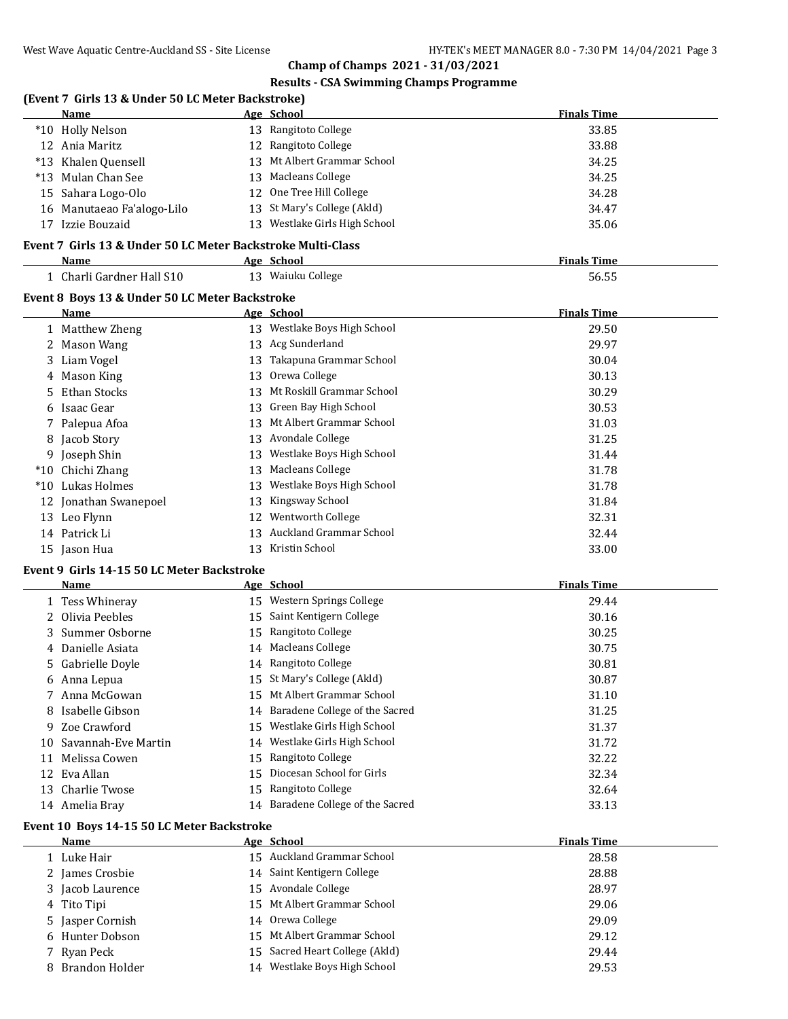**Finals Time** 

# **Champ of Champs 2021 - 31/03/2021**

## **Results - CSA Swimming Champs Programme**

|    | <b>Name</b>                                                   |    | Age School                   | <b>Finals Time</b> |
|----|---------------------------------------------------------------|----|------------------------------|--------------------|
|    | *10 Holly Nelson                                              |    | 13 Rangitoto College         | 33.85              |
|    | 12 Ania Maritz                                                | 12 | Rangitoto College            | 33.88              |
|    | *13 Khalen Quensell                                           | 13 | Mt Albert Grammar School     | 34.25              |
|    | *13 Mulan Chan See                                            | 13 | Macleans College             | 34.25              |
| 15 | Sahara Logo-Olo                                               | 12 | One Tree Hill College        | 34.28              |
| 16 | Manutaeao Fa'alogo-Lilo                                       | 13 | St Mary's College (Akld)     | 34.47              |
|    |                                                               |    |                              |                    |
| 17 | Izzie Bouzaid                                                 | 13 | Westlake Girls High School   | 35.06              |
|    | Event 7 Girls 13 & Under 50 LC Meter Backstroke Multi-Class   |    |                              |                    |
|    | <b>Name</b>                                                   |    | Age School                   | <b>Finals Time</b> |
|    | 1 Charli Gardner Hall S10                                     |    | 13 Waiuku College            | 56.55              |
|    |                                                               |    |                              |                    |
|    | Event 8 Boys 13 & Under 50 LC Meter Backstroke<br><b>Name</b> |    | Age School                   | <b>Finals Time</b> |
|    | Matthew Zheng                                                 |    | 13 Westlake Boys High School | 29.50              |
|    | Mason Wang                                                    | 13 | Acg Sunderland               | 29.97              |

| 2 | Mason Wang            | 13  | Acg Sunderland            | 29.97 |
|---|-----------------------|-----|---------------------------|-------|
|   | 3 Liam Vogel          | 13  | Takapuna Grammar School   | 30.04 |
|   | 4 Mason King          | 13  | Orewa College             | 30.13 |
|   | 5 Ethan Stocks        | 13. | Mt Roskill Grammar School | 30.29 |
|   | 6 Isaac Gear          |     | 13 Green Bay High School  | 30.53 |
|   | 7 Palepua Afoa        | 13  | Mt Albert Grammar School  | 31.03 |
|   | 8 Jacob Story         |     | 13 Avondale College       | 31.25 |
|   | 9 Joseph Shin         | 13  | Westlake Boys High School | 31.44 |
|   | *10 Chichi Zhang      | 13  | Macleans College          | 31.78 |
|   | *10 Lukas Holmes      | 13  | Westlake Boys High School | 31.78 |
|   | 12 Jonathan Swanepoel | 13  | Kingsway School           | 31.84 |
|   | 13 Leo Flynn          | 12  | Wentworth College         | 32.31 |
|   | 14 Patrick Li         | 13  | Auckland Grammar School   | 32.44 |
|   | 15 Jason Hua          | 13  | Kristin School            | 33.00 |

#### **Event 9 Girls 14-15 50 LC Meter Backstroke**

|    | Name                |    | Age School                        | <b>Finals Time</b> |
|----|---------------------|----|-----------------------------------|--------------------|
|    | 1 Tess Whineray     |    | 15 Western Springs College        | 29.44              |
|    | 2 Olivia Peebles    |    | 15 Saint Kentigern College        | 30.16              |
|    | 3 Summer Osborne    | 15 | Rangitoto College                 | 30.25              |
|    | 4 Danielle Asiata   |    | 14 Macleans College               | 30.75              |
|    | 5 Gabrielle Doyle   |    | 14 Rangitoto College              | 30.81              |
|    | 6 Anna Lepua        |    | 15 St Mary's College (Akld)       | 30.87              |
|    | 7 Anna McGowan      |    | 15 Mt Albert Grammar School       | 31.10              |
|    | 8 Isabelle Gibson   |    | 14 Baradene College of the Sacred | 31.25              |
|    | 9 Zoe Crawford      |    | 15 Westlake Girls High School     | 31.37              |
| 10 | Savannah-Eve Martin |    | 14 Westlake Girls High School     | 31.72              |
| 11 | Melissa Cowen       | 15 | Rangitoto College                 | 32.22              |
|    | 12 Eva Allan        | 15 | Diocesan School for Girls         | 32.34              |
|    | 13 Charlie Twose    | 15 | Rangitoto College                 | 32.64              |
|    | 14 Amelia Brav      |    | 14 Baradene College of the Sacred | 33.13              |

### **Event 10 Boys 14-15 50 LC Meter Backstroke**

| Name             | Age School                      | <b>Finals Time</b> |
|------------------|---------------------------------|--------------------|
| 1 Luke Hair      | 15 Auckland Grammar School      | 28.58              |
| 2 James Crosbie  | 14 Saint Kentigern College      | 28.88              |
| 3 Jacob Laurence | 15 Avondale College             | 28.97              |
| 4 Tito Tipi      | 15 Mt Albert Grammar School     | 29.06              |
| 5 Jasper Cornish | 14 Orewa College                | 29.09              |
| 6 Hunter Dobson  | 15 Mt Albert Grammar School     | 29.12              |
| 7 Ryan Peck      | 15 Sacred Heart College (Akld)  | 29.44              |
| 8 Brandon Holder | Westlake Boys High School<br>14 | 29.53              |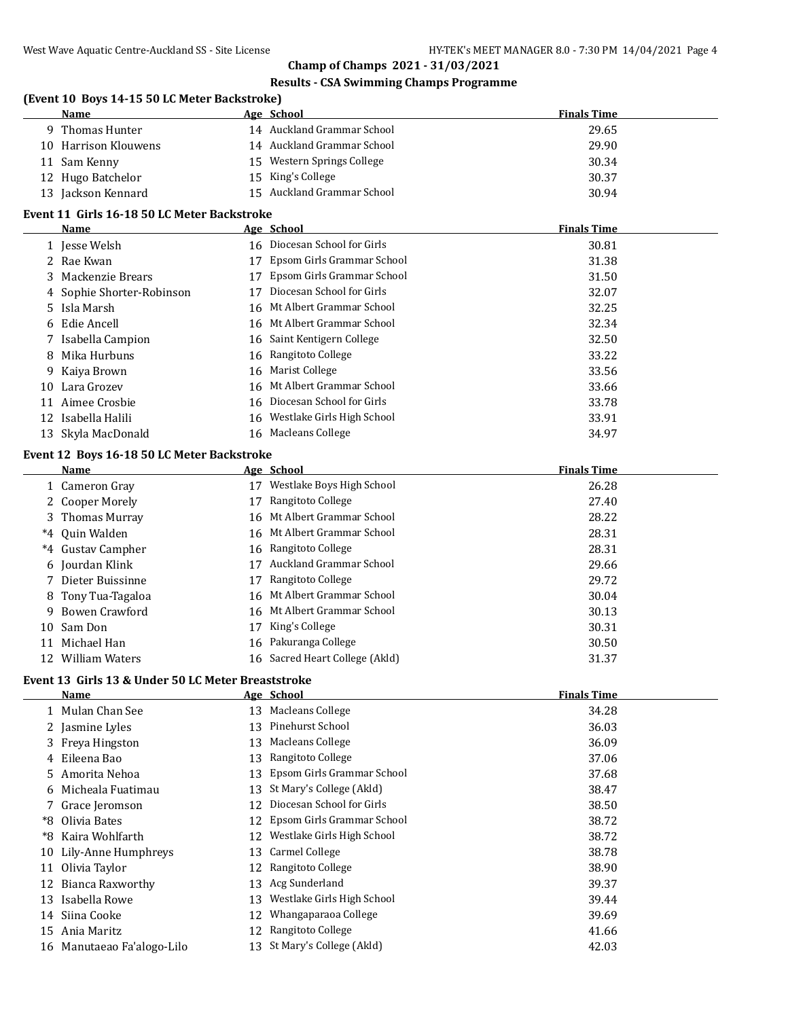# **Results - CSA Swimming Champs Programme**

# **(Event 10 Boys 14-15 50 LC Meter Backstroke)**

| <b>Name</b>          | Age School                 | <b>Finals Time</b> |
|----------------------|----------------------------|--------------------|
| 9 Thomas Hunter      | 14 Auckland Grammar School | 29.65              |
| 10 Harrison Klouwens | 14 Auckland Grammar School | 29.90              |
| 11 Sam Kenny         | 15 Western Springs College | 30.34              |
| 12 Hugo Batchelor    | 15 King's College          | 30.37              |
| 13 Jackson Kennard   | 15 Auckland Grammar School | 30.94              |

# **Event 11 Girls 16-18 50 LC Meter Backstroke**

|    | Name                      |    | Age School                    | <b>Finals Time</b> |
|----|---------------------------|----|-------------------------------|--------------------|
|    | 1 Jesse Welsh             |    | 16 Diocesan School for Girls  | 30.81              |
|    | 2 Rae Kwan                | 17 | Epsom Girls Grammar School    | 31.38              |
|    | 3 Mackenzie Brears        | 17 | Epsom Girls Grammar School    | 31.50              |
|    | 4 Sophie Shorter-Robinson | 17 | Diocesan School for Girls     | 32.07              |
|    | 5 Isla Marsh              |    | 16 Mt Albert Grammar School   | 32.25              |
|    | 6 Edie Ancell             |    | 16 Mt Albert Grammar School   | 32.34              |
|    | 7 Isabella Campion        |    | 16 Saint Kentigern College    | 32.50              |
|    | 8 Mika Hurbuns            |    | 16 Rangitoto College          | 33.22              |
|    | 9 Kaiya Brown             |    | 16 Marist College             | 33.56              |
| 10 | Lara Grozev               |    | 16 Mt Albert Grammar School   | 33.66              |
| 11 | Aimee Crosbie             |    | 16 Diocesan School for Girls  | 33.78              |
|    | 12 Isabella Halili        |    | 16 Westlake Girls High School | 33.91              |
|    | 13 Skyla MacDonald        |    | 16 Macleans College           | 34.97              |

#### **Event 12 Boys 16-18 50 LC Meter Backstroke**

|    | Name               |    | Age School                     | <b>Finals Time</b> |
|----|--------------------|----|--------------------------------|--------------------|
|    | 1 Cameron Gray     | 17 | Westlake Boys High School      | 26.28              |
|    | 2 Cooper Morely    | 17 | Rangitoto College              | 27.40              |
|    | 3 Thomas Murray    |    | 16 Mt Albert Grammar School    | 28.22              |
|    | *4 Ouin Walden     |    | 16 Mt Albert Grammar School    | 28.31              |
|    | *4 Gustav Campher  |    | 16 Rangitoto College           | 28.31              |
|    | 6 Jourdan Klink    | 17 | Auckland Grammar School        | 29.66              |
|    | 7 Dieter Buissinne | 17 | Rangitoto College              | 29.72              |
|    | 8 Tony Tua-Tagaloa |    | 16 Mt Albert Grammar School    | 30.04              |
| 9  | Bowen Crawford     |    | 16 Mt Albert Grammar School    | 30.13              |
|    | 10 Sam Don         | 17 | King's College                 | 30.31              |
| 11 | Michael Han        |    | 16 Pakuranga College           | 30.50              |
|    | 12 William Waters  |    | 16 Sacred Heart College (Akld) | 31.37              |

# **Event 13 Girls 13 & Under 50 LC Meter Breaststroke**

|    | Name                       |     | Age School                    | <b>Finals Time</b> |
|----|----------------------------|-----|-------------------------------|--------------------|
|    | 1 Mulan Chan See           |     | 13 Macleans College           | 34.28              |
|    | 2 Jasmine Lyles            | 13. | Pinehurst School              | 36.03              |
|    | 3 Freya Hingston           |     | 13 Macleans College           | 36.09              |
|    | 4 Eileena Bao              | 13  | Rangitoto College             | 37.06              |
|    | 5 Amorita Nehoa            |     | 13 Epsom Girls Grammar School | 37.68              |
| 6. | Micheala Fuatimau          | 13  | St Mary's College (Akld)      | 38.47              |
|    | 7 Grace Jeromson           | 12  | Diocesan School for Girls     | 38.50              |
| *8 | Olivia Bates               | 12  | Epsom Girls Grammar School    | 38.72              |
| *8 | Kaira Wohlfarth            | 12  | Westlake Girls High School    | 38.72              |
|    | 10 Lily-Anne Humphreys     |     | 13 Carmel College             | 38.78              |
| 11 | Olivia Taylor              | 12  | Rangitoto College             | 38.90              |
| 12 | Bianca Raxworthy           |     | 13 Acg Sunderland             | 39.37              |
| 13 | Isabella Rowe              | 13  | Westlake Girls High School    | 39.44              |
| 14 | Siina Cooke                | 12. | Whangaparaoa College          | 39.69              |
| 15 | Ania Maritz                | 12  | Rangitoto College             | 41.66              |
|    | 16 Manutaeao Fa'alogo-Lilo |     | 13 St Mary's College (Akld)   | 42.03              |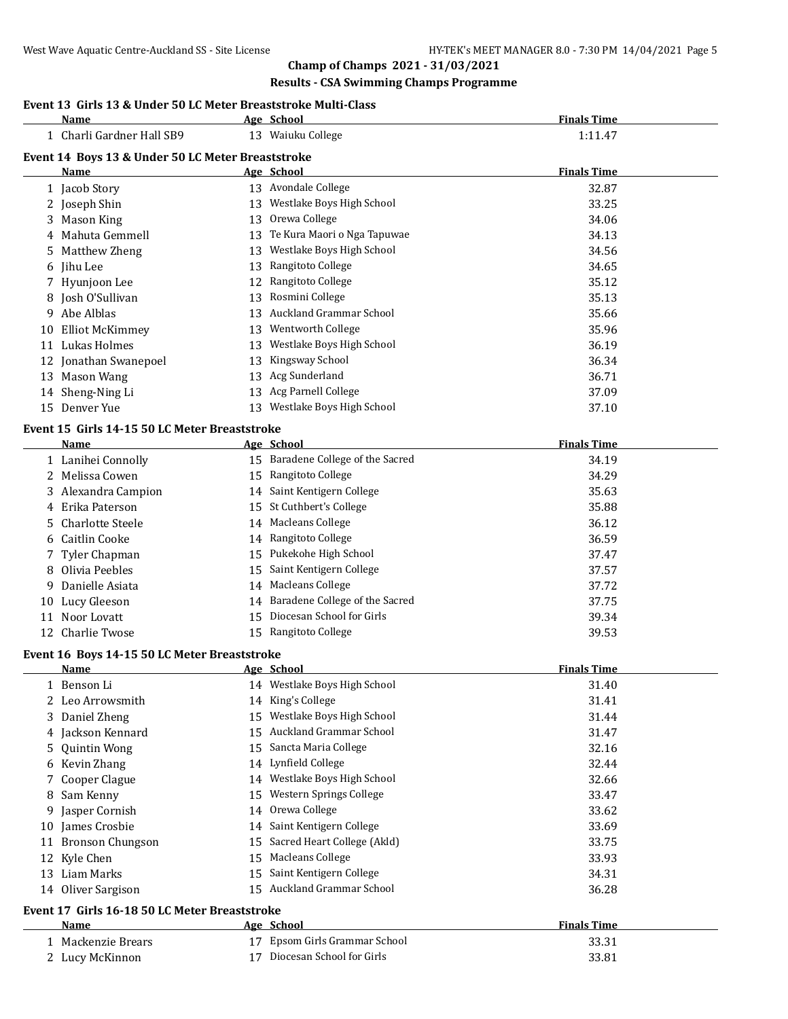# **Results - CSA Swimming Champs Programme**

| Event 13 Girls 13 & Under 50 LC Meter Breaststroke Multi-Class |  |
|----------------------------------------------------------------|--|
|----------------------------------------------------------------|--|

|    | Name                                                         |    | Age School                        | <b>Finals Time</b> |
|----|--------------------------------------------------------------|----|-----------------------------------|--------------------|
|    | 1 Charli Gardner Hall SB9                                    |    | 13 Waiuku College                 | 1:11.47            |
|    | Event 14 Boys 13 & Under 50 LC Meter Breaststroke            |    |                                   |                    |
|    | Name                                                         |    | Age School                        | <b>Finals Time</b> |
|    | 1 Jacob Story                                                |    | 13 Avondale College               | 32.87              |
|    | 2 Joseph Shin                                                |    | 13 Westlake Boys High School      | 33.25              |
|    | 3 Mason King                                                 |    | 13 Orewa College                  | 34.06              |
|    | 4 Mahuta Gemmell                                             |    | 13 Te Kura Maori o Nga Tapuwae    | 34.13              |
|    | 5 Matthew Zheng                                              |    | 13 Westlake Boys High School      | 34.56              |
|    | 6 Jihu Lee                                                   |    | 13 Rangitoto College              | 34.65              |
|    | 7 Hyunjoon Lee                                               |    | 12 Rangitoto College              | 35.12              |
|    | 8 Josh O'Sullivan                                            |    | 13 Rosmini College                | 35.13              |
|    | 9 Abe Alblas                                                 |    | 13 Auckland Grammar School        | 35.66              |
| 10 | <b>Elliot McKimmey</b>                                       |    | 13 Wentworth College              | 35.96              |
| 11 | Lukas Holmes                                                 | 13 | Westlake Boys High School         | 36.19              |
|    | 12 Jonathan Swanepoel                                        | 13 | Kingsway School                   | 36.34              |
|    | 13 Mason Wang                                                | 13 | Acg Sunderland                    | 36.71              |
|    | 14 Sheng-Ning Li                                             |    | 13 Acg Parnell College            | 37.09              |
|    | 15 Denver Yue                                                |    | 13 Westlake Boys High School      | 37.10              |
|    |                                                              |    |                                   |                    |
|    | Event 15 Girls 14-15 50 LC Meter Breaststroke<br><b>Name</b> |    | Age School                        | <b>Finals Time</b> |
|    | 1 Lanihei Connolly                                           |    | 15 Baradene College of the Sacred | 34.19              |
|    | 2 Melissa Cowen                                              |    | 15 Rangitoto College              | 34.29              |
|    | 3 Alexandra Campion                                          |    | 14 Saint Kentigern College        | 35.63              |
| 4  | Erika Paterson                                               | 15 | St Cuthbert's College             | 35.88              |
| 5  | <b>Charlotte Steele</b>                                      |    | 14 Macleans College               | 36.12              |
| 6  | Caitlin Cooke                                                |    | 14 Rangitoto College              | 36.59              |
| 7  | Tyler Chapman                                                | 15 | Pukekohe High School              | 37.47              |
| 8  | Olivia Peebles                                               | 15 | Saint Kentigern College           | 37.57              |
|    | 9 Danielle Asiata                                            | 14 | <b>Macleans College</b>           | 37.72              |
| 10 | Lucy Gleeson                                                 | 14 | Baradene College of the Sacred    | 37.75              |
| 11 | Noor Lovatt                                                  | 15 | Diocesan School for Girls         | 39.34              |
|    | 12 Charlie Twose                                             |    | 15 Rangitoto College              | 39.53              |
|    |                                                              |    |                                   |                    |
|    | Event 16 Boys 14-15 50 LC Meter Breaststroke<br>Name         |    | Age School                        | <b>Finals Time</b> |
|    | 1 Benson Li                                                  |    | 14 Westlake Boys High School      | 31.40              |
|    | 2 Leo Arrowsmith                                             |    | 14 King's College                 | 31.41              |
| 3  | Daniel Zheng                                                 |    | Westlake Boys High School         | 31.44              |
| 4  | Jackson Kennard                                              | 15 | Auckland Grammar School           | 31.47              |
| 5  | <b>Quintin Wong</b>                                          | 15 | Sancta Maria College              | 32.16              |
|    | 6 Kevin Zhang                                                |    | 14 Lynfield College               | 32.44              |
| 7  | Cooper Clague                                                |    | 14 Westlake Boys High School      | 32.66              |
| 8  | Sam Kenny                                                    | 15 | Western Springs College           | 33.47              |
| 9. | Jasper Cornish                                               |    | 14 Orewa College                  | 33.62              |
|    | 10 James Crosbie                                             |    | 14 Saint Kentigern College        | 33.69              |
|    | 11 Bronson Chungson                                          | 15 | Sacred Heart College (Akld)       | 33.75              |
| 12 | Kyle Chen                                                    | 15 | <b>Macleans College</b>           | 33.93              |
|    | 13 Liam Marks                                                | 15 | Saint Kentigern College           | 34.31              |
|    | 14 Oliver Sargison                                           |    | 15 Auckland Grammar School        | 36.28              |
|    | Event 17 Girls 16-18 50 LC Meter Breaststroke                |    |                                   |                    |
|    | Name                                                         |    | Age School                        | <b>Finals Time</b> |
|    | 1 Mackenzie Brears                                           |    | 17 Epsom Girls Grammar School     | 33.31              |
|    | 2 Lucy McKinnon                                              |    | 17 Diocesan School for Girls      | 33.81              |
|    |                                                              |    |                                   |                    |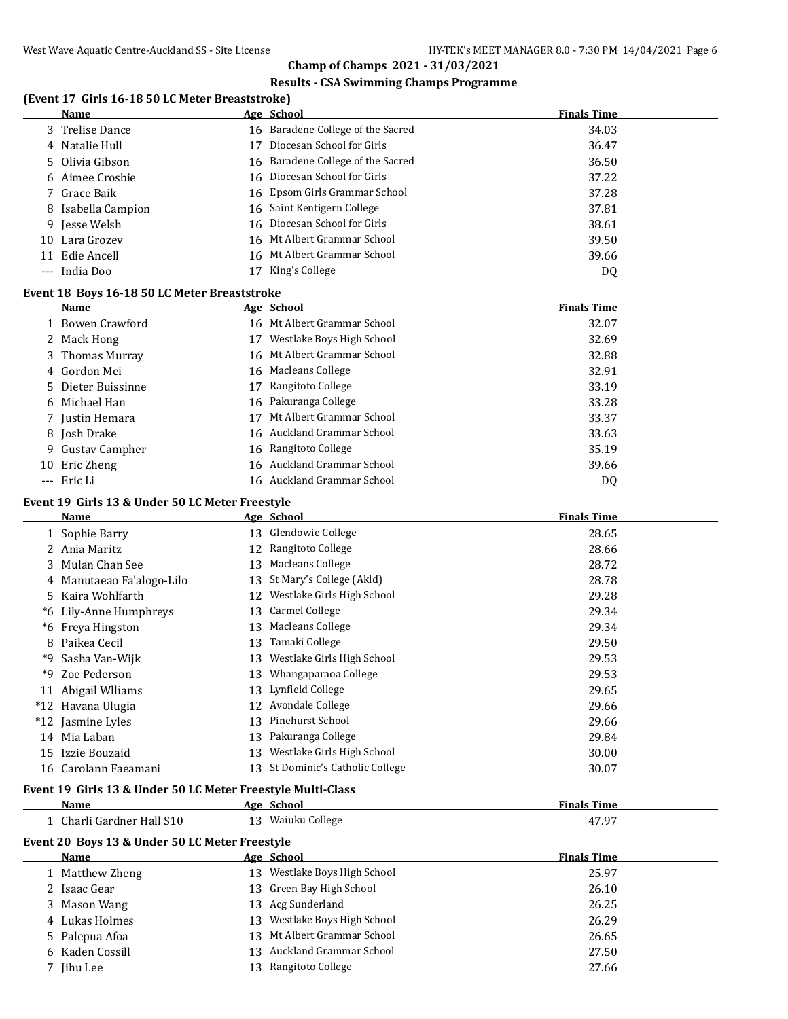# **Results - CSA Swimming Champs Programme**

# **(Event 17 Girls 16-18 50 LC Meter Breaststroke)**

|     | Name                                                        |     | Age School                        | <b>Finals Time</b> |
|-----|-------------------------------------------------------------|-----|-----------------------------------|--------------------|
|     | 3 Trelise Dance                                             |     | 16 Baradene College of the Sacred | 34.03              |
|     | Natalie Hull                                                | 17  | Diocesan School for Girls         | 36.47              |
| 5   | Olivia Gibson                                               | 16. | Baradene College of the Sacred    | 36.50              |
|     | Aimee Crosbie                                               | 16  | Diocesan School for Girls         | 37.22              |
|     | Grace Baik                                                  | 16  | Epsom Girls Grammar School        | 37.28              |
|     | Isabella Campion                                            | 16  | Saint Kentigern College           | 37.81              |
| 9.  | Jesse Welsh                                                 | 16. | Diocesan School for Girls         | 38.61              |
| 10- | Lara Grozev                                                 |     | 16 Mt Albert Grammar School       | 39.50              |
|     | 11 Edie Ancell                                              |     | 16 Mt Albert Grammar School       | 39.66              |
|     | --- India Doo                                               |     | 17 King's College                 | DQ                 |
|     |                                                             |     |                                   |                    |
|     | Event 18 Boys 16-18 50 LC Meter Breaststroke                |     |                                   |                    |
|     | Name                                                        |     | Age School                        | <b>Finals Time</b> |
|     | 1 Bowen Crawford                                            |     | 16 Mt Albert Grammar School       | 32.07              |
|     | 2 Mack Hong                                                 |     | 17 Westlake Boys High School      | 32.69              |
| 3   | Thomas Murray                                               |     | 16 Mt Albert Grammar School       | 32.88              |
| 4   | Gordon Mei                                                  |     | 16 Macleans College               | 32.91              |
| 5   | Dieter Buissinne                                            |     | 17 Rangitoto College              | 33.19              |
| 6   | Michael Han                                                 |     | 16 Pakuranga College              | 33.28              |
|     | 7 Justin Hemara                                             |     | 17 Mt Albert Grammar School       | 33.37              |
|     | 8 Josh Drake                                                |     | 16 Auckland Grammar School        | 33.63              |
|     | 9 Gustav Campher                                            |     | 16 Rangitoto College              | 35.19              |
| 10  | Eric Zheng                                                  |     | 16 Auckland Grammar School        | 39.66              |
|     | --- Eric Li                                                 |     | 16 Auckland Grammar School        | DQ                 |
|     | Event 19 Girls 13 & Under 50 LC Meter Freestyle             |     |                                   |                    |
|     | Name                                                        |     | Age School                        | <b>Finals Time</b> |
|     | 1 Sophie Barry                                              |     | 13 Glendowie College              | 28.65              |
|     | 2 Ania Maritz                                               |     | 12 Rangitoto College              | 28.66              |
|     | Mulan Chan See                                              |     | 13 Macleans College               | 28.72              |
|     | 4 Manutaeao Fa'alogo-Lilo                                   |     | 13 St Mary's College (Akld)       | 28.78              |
| 5.  | Kaira Wohlfarth                                             |     | 12 Westlake Girls High School     | 29.28              |
| *6  | Lily-Anne Humphreys                                         | 13  | <b>Carmel College</b>             | 29.34              |
|     | *6 Freya Hingston                                           |     | 13 Macleans College               | 29.34              |
| 8   | Paikea Cecil                                                |     | 13 Tamaki College                 | 29.50              |
| *9  | Sasha Van-Wijk                                              |     | 13 Westlake Girls High School     | 29.53              |
| *9  | Zoe Pederson                                                |     | 13 Whangaparaoa College           | 29.53              |
|     | 11 Abigail Wlliams                                          |     | 13 Lynfield College               | 29.65              |
|     | *12 Havana Ulugia                                           |     | 12 Avondale College               | 29.66              |
|     | *12 Jasmine Lyles                                           |     | 13 Pinehurst School               | 29.66              |
|     | 14 Mia Laban                                                |     | 13 Pakuranga College              | 29.84              |
|     | 15 Izzie Bouzaid                                            |     | 13 Westlake Girls High School     | 30.00              |
|     | 16 Carolann Faeamani                                        | 13  | St Dominic's Catholic College     | 30.07              |
|     |                                                             |     |                                   |                    |
|     | Event 19 Girls 13 & Under 50 LC Meter Freestyle Multi-Class |     |                                   |                    |
|     | Name                                                        |     | Age School                        | <b>Finals Time</b> |
|     | 1 Charli Gardner Hall S10                                   |     | 13 Waiuku College                 | 47.97              |
|     | Event 20 Boys 13 & Under 50 LC Meter Freestyle              |     |                                   |                    |
|     | Name                                                        |     | Age School                        | <b>Finals Time</b> |
|     | 1 Matthew Zheng                                             |     | 13 Westlake Boys High School      | 25.97              |
|     | 2 Isaac Gear                                                |     | 13 Green Bay High School          | 26.10              |
|     | 3 Mason Wang                                                |     | 13 Acg Sunderland                 | 26.25              |
|     | 4 Lukas Holmes                                              |     | 13 Westlake Boys High School      | 26.29              |
| 5.  | Palepua Afoa                                                |     | 13 Mt Albert Grammar School       | 26.65              |
| 6   | Kaden Cossill                                               |     | 13 Auckland Grammar School        | 27.50              |
|     | 7 Jihu Lee                                                  |     | 13 Rangitoto College              | 27.66              |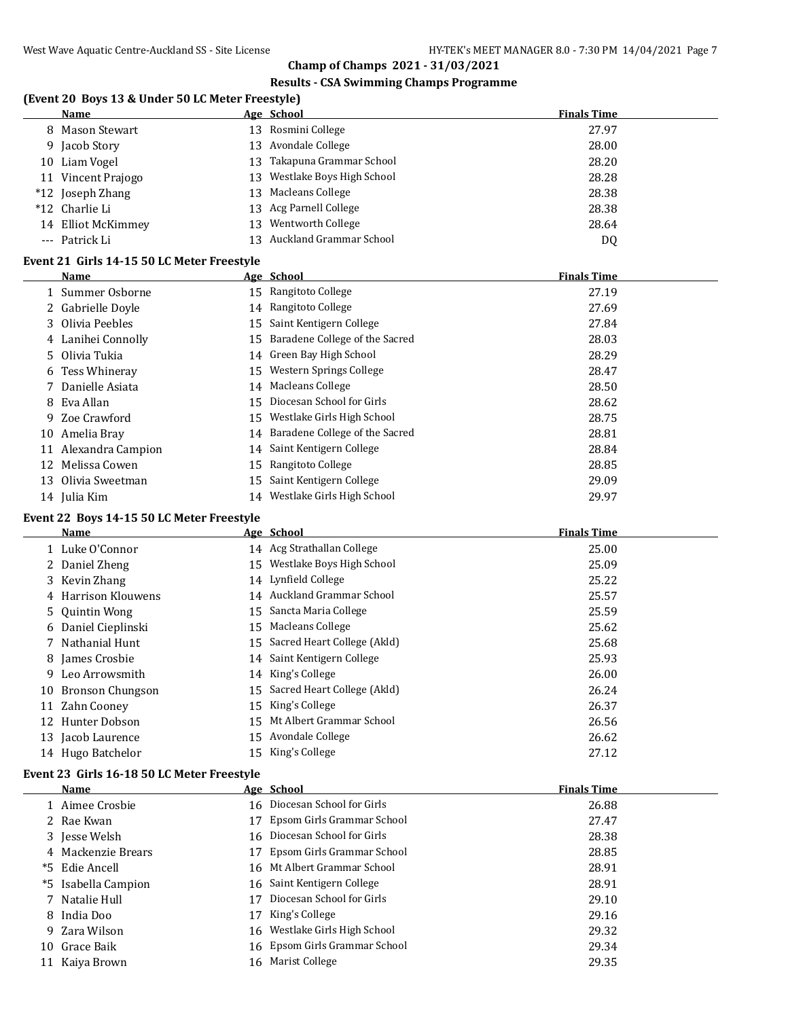# **Results - CSA Swimming Champs Programme**

# **(Event 20 Boys 13 & Under 50 LC Meter Freestyle)**

|    | Name               |        | Age School                   | <b>Finals Time</b> |
|----|--------------------|--------|------------------------------|--------------------|
|    | 8 Mason Stewart    |        | 13 Rosmini College           | 27.97              |
|    | 9 Jacob Story      |        | 13 Avondale College          | 28.00              |
| 10 | Liam Vogel         | $13 -$ | Takapuna Grammar School      | 28.20              |
|    | 11 Vincent Prajogo |        | 13 Westlake Boys High School | 28.28              |
|    | *12 Joseph Zhang   |        | 13 Macleans College          | 28.38              |
|    | *12 Charlie Li     |        | 13 Acg Parnell College       | 28.38              |
|    | 14 Elliot McKimmey | 13.    | Wentworth College            | 28.64              |
|    | --- Patrick Li     |        | Auckland Grammar School      | DQ                 |

# **Event 21 Girls 14-15 50 LC Meter Freestyle**

|    | Name               |    | Age School                        | <b>Finals Time</b> |
|----|--------------------|----|-----------------------------------|--------------------|
|    | 1 Summer Osborne   |    | 15 Rangitoto College              | 27.19              |
|    | 2 Gabrielle Doyle  |    | 14 Rangitoto College              | 27.69              |
|    | 3 Olivia Peebles   | 15 | Saint Kentigern College           | 27.84              |
|    | 4 Lanihei Connolly | 15 | Baradene College of the Sacred    | 28.03              |
|    | 5 Olivia Tukia     |    | 14 Green Bay High School          | 28.29              |
|    | 6 Tess Whineray    |    | 15 Western Springs College        | 28.47              |
|    | 7 Danielle Asiata  | 14 | Macleans College                  | 28.50              |
|    | 8 Eva Allan        | 15 | Diocesan School for Girls         | 28.62              |
|    | 9 Zoe Crawford     | 15 | Westlake Girls High School        | 28.75              |
| 10 | Amelia Bray        |    | 14 Baradene College of the Sacred | 28.81              |
| 11 | Alexandra Campion  |    | 14 Saint Kentigern College        | 28.84              |
| 12 | Melissa Cowen      | 15 | Rangitoto College                 | 28.85              |
| 13 | Olivia Sweetman    | 15 | Saint Kentigern College           | 29.09              |
|    | 14 Julia Kim       |    | 14 Westlake Girls High School     | 29.97              |

# **Event 22 Boys 14-15 50 LC Meter Freestyle**

|    | Name                | Age School                     | <b>Finals Time</b> |
|----|---------------------|--------------------------------|--------------------|
|    | 1 Luke O'Connor     | 14 Acg Strathallan College     | 25.00              |
|    | 2 Daniel Zheng      | 15 Westlake Boys High School   | 25.09              |
|    | 3 Kevin Zhang       | 14 Lynfield College            | 25.22              |
|    | 4 Harrison Klouwens | 14 Auckland Grammar School     | 25.57              |
|    | 5 Quintin Wong      | 15 Sancta Maria College        | 25.59              |
|    | 6 Daniel Cieplinski | 15 Macleans College            | 25.62              |
|    | 7 Nathanial Hunt    | 15 Sacred Heart College (Akld) | 25.68              |
|    | 8 James Crosbie     | 14 Saint Kentigern College     | 25.93              |
|    | 9 Leo Arrowsmith    | 14 King's College              | 26.00              |
| 10 | Bronson Chungson    | 15 Sacred Heart College (Akld) | 26.24              |
| 11 | Zahn Cooney         | 15 King's College              | 26.37              |
|    | 12 Hunter Dobson    | 15 Mt Albert Grammar School    | 26.56              |
|    | 13 Jacob Laurence   | 15 Avondale College            | 26.62              |
|    | 14 Hugo Batchelor   | 15 King's College              | 27.12              |

# **Event 23 Girls 16-18 50 LC Meter Freestyle**

|     | <b>Name</b>         |    | Age School                    | <b>Finals Time</b> |
|-----|---------------------|----|-------------------------------|--------------------|
|     | 1 Aimee Crosbie     |    | 16 Diocesan School for Girls  | 26.88              |
|     | 2 Rae Kwan          |    | 17 Epsom Girls Grammar School | 27.47              |
|     | 3 Jesse Welsh       |    | 16 Diocesan School for Girls  | 28.38              |
|     | 4 Mackenzie Brears  | 17 | Epsom Girls Grammar School    | 28.85              |
|     | *5 Edie Ancell      |    | 16 Mt Albert Grammar School   | 28.91              |
|     | *5 Isabella Campion |    | 16 Saint Kentigern College    | 28.91              |
|     | 7 Natalie Hull      |    | Diocesan School for Girls     | 29.10              |
|     | 8 India Doo         | 17 | King's College                | 29.16              |
|     | 9 Zara Wilson       |    | 16 Westlake Girls High School | 29.32              |
| 10. | Grace Baik          |    | 16 Epsom Girls Grammar School | 29.34              |
|     | 11 Kaiya Brown      |    | 16 Marist College             | 29.35              |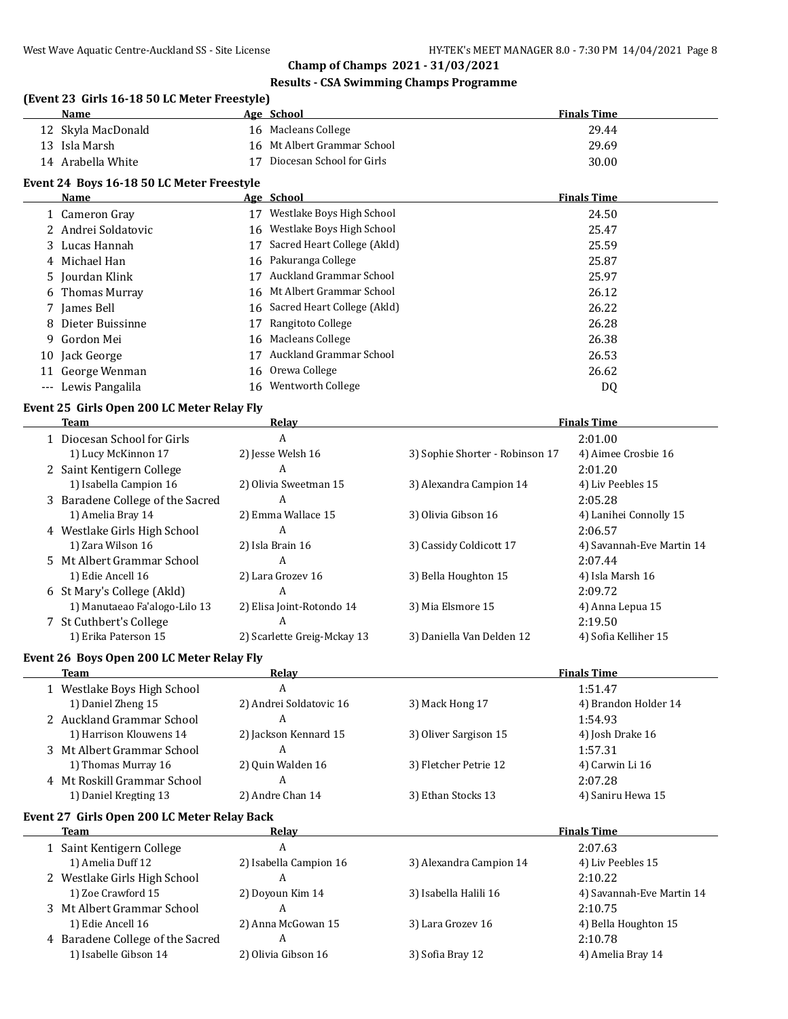# **Results - CSA Swimming Champs Programme**

#### **(Event 23 Girls 16-18 50 LC Meter Freestyle)**

|    | (Event 23 Girls 16-18 50 LC Meter Freestyle)<br>Name |    | Age School                     |                                 | <b>Finals Time</b>        |
|----|------------------------------------------------------|----|--------------------------------|---------------------------------|---------------------------|
|    | 12 Skyla MacDonald                                   |    | 16 Macleans College            |                                 | 29.44                     |
|    | 13 Isla Marsh                                        |    | 16 Mt Albert Grammar School    |                                 | 29.69                     |
|    | 14 Arabella White                                    |    | 17 Diocesan School for Girls   |                                 | 30.00                     |
|    | Event 24 Boys 16-18 50 LC Meter Freestyle            |    |                                |                                 |                           |
|    | Name                                                 |    | Age School                     |                                 | <b>Finals Time</b>        |
|    | 1 Cameron Gray                                       |    | 17 Westlake Boys High School   |                                 | 24.50                     |
|    | 2 Andrei Soldatovic                                  |    | 16 Westlake Boys High School   |                                 | 25.47                     |
|    | 3 Lucas Hannah                                       |    | 17 Sacred Heart College (Akld) |                                 | 25.59                     |
|    | 4 Michael Han                                        |    | 16 Pakuranga College           |                                 | 25.87                     |
|    | 5 Jourdan Klink                                      |    | 17 Auckland Grammar School     |                                 | 25.97                     |
| 6  | <b>Thomas Murray</b>                                 |    | 16 Mt Albert Grammar School    |                                 | 26.12                     |
|    | 7 James Bell                                         |    | 16 Sacred Heart College (Akld) |                                 | 26.22                     |
|    | 8 Dieter Buissinne                                   | 17 | Rangitoto College              |                                 | 26.28                     |
| 9. | Gordon Mei                                           | 16 | <b>Macleans College</b>        |                                 | 26.38                     |
|    |                                                      |    | 17 Auckland Grammar School     |                                 |                           |
|    | 10 Jack George                                       |    |                                |                                 | 26.53                     |
|    | 11 George Wenman                                     | 16 | Orewa College                  |                                 | 26.62                     |
|    | --- Lewis Pangalila                                  |    | 16 Wentworth College           |                                 | DQ                        |
|    | Event 25 Girls Open 200 LC Meter Relay Fly           |    |                                |                                 |                           |
|    | Team                                                 |    | <b>Relay</b>                   |                                 | <b>Finals Time</b>        |
|    | 1 Diocesan School for Girls                          |    | A                              |                                 | 2:01.00                   |
|    | 1) Lucy McKinnon 17                                  |    | 2) Jesse Welsh 16              | 3) Sophie Shorter - Robinson 17 | 4) Aimee Crosbie 16       |
|    | 2 Saint Kentigern College                            |    | A                              |                                 | 2:01.20                   |
|    | 1) Isabella Campion 16                               |    | 2) Olivia Sweetman 15          | 3) Alexandra Campion 14         | 4) Liv Peebles 15         |
|    | 3 Baradene College of the Sacred                     |    | A                              |                                 | 2:05.28                   |
|    | 1) Amelia Bray 14                                    |    | 2) Emma Wallace 15             | 3) Olivia Gibson 16             | 4) Lanihei Connolly 15    |
|    | 4 Westlake Girls High School                         |    | A                              |                                 | 2:06.57                   |
|    | 1) Zara Wilson 16                                    |    | 2) Isla Brain 16               | 3) Cassidy Coldicott 17         | 4) Savannah-Eve Martin 14 |
|    | 5 Mt Albert Grammar School                           |    | A                              |                                 | 2:07.44                   |
|    | 1) Edie Ancell 16                                    |    | 2) Lara Grozev 16              | 3) Bella Houghton 15            | 4) Isla Marsh 16          |
|    | 6 St Mary's College (Akld)                           |    | A                              |                                 | 2:09.72                   |
|    | 1) Manutaeao Fa'alogo-Lilo 13                        |    | 2) Elisa Joint-Rotondo 14      | 3) Mia Elsmore 15               | 4) Anna Lepua 15          |
|    | 7 St Cuthbert's College                              |    | A                              |                                 | 2:19.50                   |
|    | 1) Erika Paterson 15                                 |    | 2) Scarlette Greig-Mckay 13    | 3) Daniella Van Delden 12       | 4) Sofia Kelliher 15      |
|    | Event 26 Boys Open 200 LC Meter Relay Fly            |    |                                |                                 |                           |
|    | <b>Team Example 2014</b>                             |    | <b>Relay</b>                   |                                 | <b>Finals Time</b>        |
|    | 1 Westlake Boys High School                          |    | A                              |                                 | 1:51.47                   |
|    | 1) Daniel Zheng 15                                   |    | 2) Andrei Soldatovic 16        | 3) Mack Hong 17                 | 4) Brandon Holder 14      |
|    | 2 Auckland Grammar School                            |    | A                              |                                 | 1:54.93                   |
|    | 1) Harrison Klouwens 14                              |    | 2) Jackson Kennard 15          | 3) Oliver Sargison 15           | 4) Josh Drake 16          |
|    | 3 Mt Albert Grammar School                           |    | A                              |                                 | 1:57.31                   |
|    | 1) Thomas Murray 16                                  |    | 2) Quin Walden 16              | 3) Fletcher Petrie 12           | 4) Carwin Li 16           |
|    | 4 Mt Roskill Grammar School                          |    | A                              |                                 | 2:07.28                   |
|    | 1) Daniel Kregting 13                                |    | 2) Andre Chan 14               | 3) Ethan Stocks 13              | 4) Saniru Hewa 15         |
|    | Event 27 Girls Open 200 LC Meter Relay Back          |    |                                |                                 |                           |
|    | Team                                                 |    | <u>Relay</u>                   |                                 | <b>Finals Time</b>        |
|    | Coint Vantigann Callage                              |    |                                |                                 | 2.07C2                    |

| теаш                             | neidy                  |                         | гицанэ гипе               |
|----------------------------------|------------------------|-------------------------|---------------------------|
| 1 Saint Kentigern College        | A                      |                         | 2:07.63                   |
| 1) Amelia Duff 12                | 2) Isabella Campion 16 | 3) Alexandra Campion 14 | 4) Liv Peebles 15         |
| 2 Westlake Girls High School     | A                      |                         | 2:10.22                   |
| 1) Zoe Crawford 15               | 2) Doyoun Kim 14       | 3) Isabella Halili 16   | 4) Savannah-Eve Martin 14 |
| 3 Mt Albert Grammar School       | A                      |                         | 2:10.75                   |
| 1) Edie Ancell 16                | 2) Anna McGowan 15     | 3) Lara Grozev 16       | 4) Bella Houghton 15      |
| 4 Baradene College of the Sacred | A                      |                         | 2:10.78                   |
| 1) Isabelle Gibson 14            | 2) Olivia Gibson 16    | 3) Sofia Bray 12        | 4) Amelia Bray 14         |
|                                  |                        |                         |                           |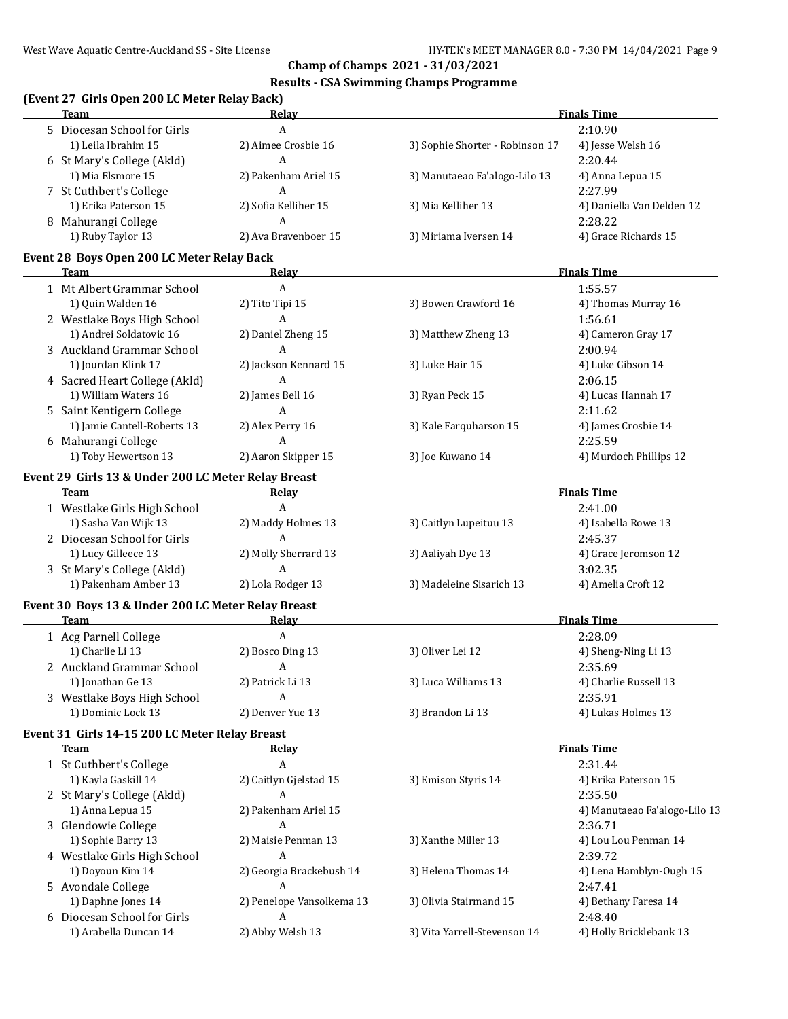## **Results - CSA Swimming Champs Programme**

## **(Event 27 Girls Open 200 LC Meter Relay Back)**

| <b>Team</b>                                         | <b>Relay</b>              |                                 | <b>Finals Time</b>            |
|-----------------------------------------------------|---------------------------|---------------------------------|-------------------------------|
| 5 Diocesan School for Girls                         | A                         |                                 | 2:10.90                       |
| 1) Leila Ibrahim 15                                 | 2) Aimee Crosbie 16       | 3) Sophie Shorter - Robinson 17 | 4) Jesse Welsh 16             |
| 6 St Mary's College (Akld)                          | A                         |                                 | 2:20.44                       |
| 1) Mia Elsmore 15                                   | 2) Pakenham Ariel 15      | 3) Manutaeao Fa'alogo-Lilo 13   | 4) Anna Lepua 15              |
| 7 St Cuthbert's College                             | A                         |                                 | 2:27.99                       |
| 1) Erika Paterson 15                                | 2) Sofia Kelliher 15      | 3) Mia Kelliher 13              | 4) Daniella Van Delden 12     |
| 8 Mahurangi College                                 | A                         |                                 | 2:28.22                       |
| 1) Ruby Taylor 13                                   | 2) Ava Bravenboer 15      | 3) Miriama Iversen 14           | 4) Grace Richards 15          |
|                                                     |                           |                                 |                               |
| Event 28 Boys Open 200 LC Meter Relay Back<br>Team  | <b>Relay</b>              |                                 | <b>Finals Time</b>            |
| 1 Mt Albert Grammar School                          | A                         |                                 | 1:55.57                       |
| 1) Quin Walden 16                                   | 2) Tito Tipi 15           | 3) Bowen Crawford 16            | 4) Thomas Murray 16           |
| 2 Westlake Boys High School                         | A                         |                                 | 1:56.61                       |
| 1) Andrei Soldatovic 16                             | 2) Daniel Zheng 15        | 3) Matthew Zheng 13             | 4) Cameron Gray 17            |
| 3 Auckland Grammar School                           | A                         |                                 | 2:00.94                       |
| 1) Jourdan Klink 17                                 | 2) Jackson Kennard 15     | 3) Luke Hair 15                 | 4) Luke Gibson 14             |
| 4 Sacred Heart College (Akld)                       | A                         |                                 | 2:06.15                       |
| 1) William Waters 16                                | 2) James Bell 16          | 3) Ryan Peck 15                 | 4) Lucas Hannah 17            |
| 5 Saint Kentigern College                           | А                         |                                 | 2:11.62                       |
| 1) Jamie Cantell-Roberts 13                         | 2) Alex Perry 16          | 3) Kale Farquharson 15          | 4) James Crosbie 14           |
| 6 Mahurangi College                                 | A                         |                                 | 2:25.59                       |
| 1) Toby Hewertson 13                                | 2) Aaron Skipper 15       | 3) Joe Kuwano 14                | 4) Murdoch Phillips 12        |
|                                                     |                           |                                 |                               |
| Event 29 Girls 13 & Under 200 LC Meter Relay Breast |                           |                                 |                               |
| Team                                                | <b>Relay</b>              |                                 | <b>Finals Time</b>            |
| 1 Westlake Girls High School                        | $\mathbf{A}$              |                                 | 2:41.00                       |
| 1) Sasha Van Wijk 13                                | 2) Maddy Holmes 13        | 3) Caitlyn Lupeituu 13          | 4) Isabella Rowe 13           |
| 2 Diocesan School for Girls                         | A                         |                                 | 2:45.37                       |
| 1) Lucy Gilleece 13                                 | 2) Molly Sherrard 13      | 3) Aaliyah Dye 13               | 4) Grace Jeromson 12          |
| 3 St Mary's College (Akld)                          | A                         |                                 | 3:02.35                       |
| 1) Pakenham Amber 13                                | 2) Lola Rodger 13         | 3) Madeleine Sisarich 13        | 4) Amelia Croft 12            |
| Event 30 Boys 13 & Under 200 LC Meter Relay Breast  |                           |                                 |                               |
| Team                                                | <b>Relay</b>              |                                 | <b>Finals Time</b>            |
| 1 Acg Parnell College                               | $\boldsymbol{A}$          |                                 | 2:28.09                       |
| 1) Charlie Li 13                                    | 2) Bosco Ding 13          | 3) Oliver Lei 12                | 4) Sheng-Ning Li 13           |
| 2 Auckland Grammar School                           | A                         |                                 | 2:35.69                       |
| 1) Jonathan Ge 13                                   | 2) Patrick Li 13          | 3) Luca Williams 13             | 4) Charlie Russell 13         |
| 3 Westlake Boys High School                         | A                         |                                 | 2:35.91                       |
| 1) Dominic Lock 13                                  | 2) Denver Yue 13          | 3) Brandon Li 13                | 4) Lukas Holmes 13            |
| Event 31 Girls 14-15 200 LC Meter Relay Breast      |                           |                                 |                               |
| Team                                                | Relav                     |                                 | <b>Finals Time</b>            |
| 1 St Cuthbert's College                             | A                         |                                 | 2:31.44                       |
| 1) Kayla Gaskill 14                                 | 2) Caitlyn Gjelstad 15    | 3) Emison Styris 14             | 4) Erika Paterson 15          |
| 2 St Mary's College (Akld)                          | A                         |                                 | 2:35.50                       |
| 1) Anna Lepua 15                                    | 2) Pakenham Ariel 15      |                                 | 4) Manutaeao Fa'alogo-Lilo 13 |
| 3 Glendowie College                                 | A                         |                                 | 2:36.71                       |
| 1) Sophie Barry 13                                  | 2) Maisie Penman 13       | 3) Xanthe Miller 13             | 4) Lou Lou Penman 14          |
| 4 Westlake Girls High School                        | A                         |                                 | 2:39.72                       |
| 1) Doyoun Kim 14                                    | 2) Georgia Brackebush 14  | 3) Helena Thomas 14             | 4) Lena Hamblyn-Ough 15       |
| 5 Avondale College                                  | A                         |                                 | 2:47.41                       |
| 1) Daphne Jones 14                                  | 2) Penelope Vansolkema 13 | 3) Olivia Stairmand 15          | 4) Bethany Faresa 14          |
| 6 Diocesan School for Girls                         | A                         |                                 | 2:48.40                       |
| 1) Arabella Duncan 14                               | 2) Abby Welsh 13          | 3) Vita Yarrell-Stevenson 14    | 4) Holly Bricklebank 13       |
|                                                     |                           |                                 |                               |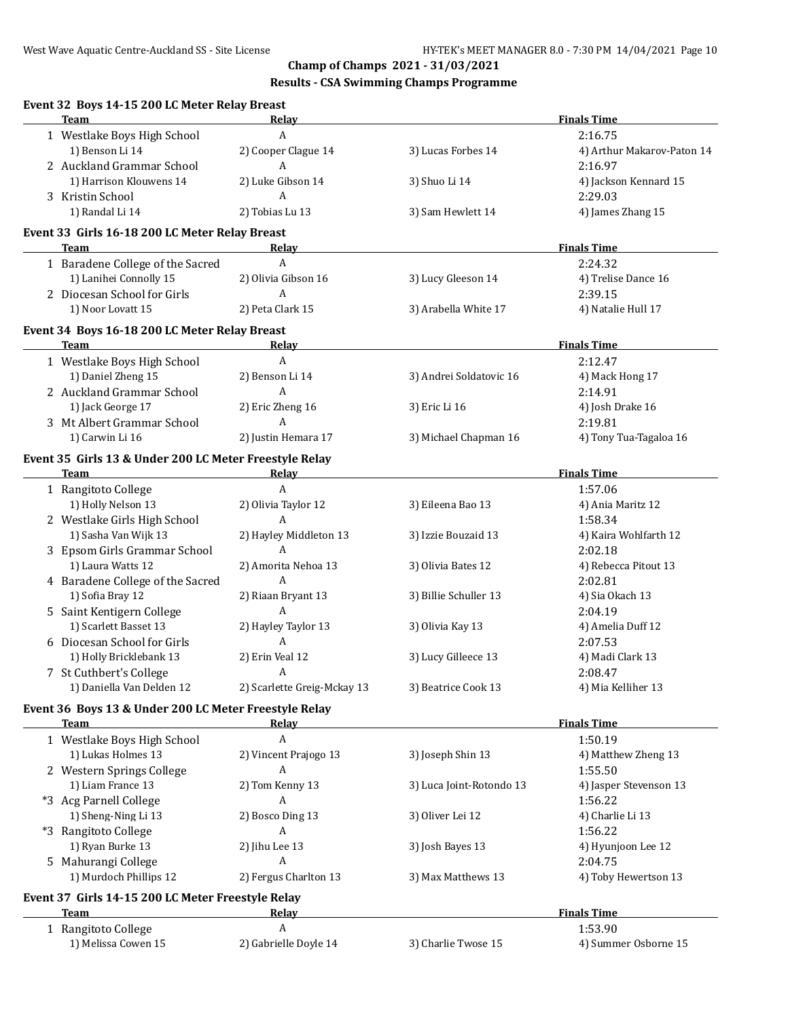## **Results - CSA Swimming Champs Programme**

| Team<br>1 Westlake Boys High School<br>1) Benson Li 14<br>2 Auckland Grammar School<br>1) Harrison Klouwens 14<br>3 Kristin School<br>1) Randal Li 14<br>Event 33 Girls 16-18 200 LC Meter Relay Breast<br>Team<br>1 Baradene College of the Sacred<br>1) Lanihei Connolly 15<br>2 Diocesan School for Girls<br>1) Noor Lovatt 15<br>Event 34 Boys 16-18 200 LC Meter Relay Breast<br><b>Team</b><br>1 Westlake Boys High School<br>1) Daniel Zheng 15<br>2 Auckland Grammar School<br>1) Jack George 17<br>3 Mt Albert Grammar School<br>1) Carwin Li 16 | Relay<br>A<br>2) Cooper Clague 14<br>A<br>2) Luke Gibson 14<br>A<br>2) Tobias Lu 13<br>Relay<br>$\boldsymbol{A}$<br>2) Olivia Gibson 16<br>$\boldsymbol{A}$<br>2) Peta Clark 15<br>Relay<br>$\boldsymbol{A}$<br>2) Benson Li 14<br>A<br>2) Eric Zheng 16 | 3) Lucas Forbes 14<br>3) Shuo Li 14<br>3) Sam Hewlett 14<br>3) Lucy Gleeson 14<br>3) Arabella White 17<br>3) Andrei Soldatovic 16                                                     | <b>Finals Time</b><br>2:16.75<br>4) Arthur Makarov-Paton 14<br>2:16.97<br>4) Jackson Kennard 15<br>2:29.03<br>4) James Zhang 15<br><b>Finals Time</b><br>2:24.32<br>4) Trelise Dance 16<br>2:39.15<br>4) Natalie Hull 17<br><b>Finals Time</b><br>2:12.47 |
|-----------------------------------------------------------------------------------------------------------------------------------------------------------------------------------------------------------------------------------------------------------------------------------------------------------------------------------------------------------------------------------------------------------------------------------------------------------------------------------------------------------------------------------------------------------|----------------------------------------------------------------------------------------------------------------------------------------------------------------------------------------------------------------------------------------------------------|---------------------------------------------------------------------------------------------------------------------------------------------------------------------------------------|-----------------------------------------------------------------------------------------------------------------------------------------------------------------------------------------------------------------------------------------------------------|
|                                                                                                                                                                                                                                                                                                                                                                                                                                                                                                                                                           |                                                                                                                                                                                                                                                          |                                                                                                                                                                                       |                                                                                                                                                                                                                                                           |
|                                                                                                                                                                                                                                                                                                                                                                                                                                                                                                                                                           |                                                                                                                                                                                                                                                          |                                                                                                                                                                                       |                                                                                                                                                                                                                                                           |
|                                                                                                                                                                                                                                                                                                                                                                                                                                                                                                                                                           |                                                                                                                                                                                                                                                          |                                                                                                                                                                                       |                                                                                                                                                                                                                                                           |
|                                                                                                                                                                                                                                                                                                                                                                                                                                                                                                                                                           |                                                                                                                                                                                                                                                          |                                                                                                                                                                                       |                                                                                                                                                                                                                                                           |
|                                                                                                                                                                                                                                                                                                                                                                                                                                                                                                                                                           |                                                                                                                                                                                                                                                          |                                                                                                                                                                                       |                                                                                                                                                                                                                                                           |
|                                                                                                                                                                                                                                                                                                                                                                                                                                                                                                                                                           |                                                                                                                                                                                                                                                          |                                                                                                                                                                                       |                                                                                                                                                                                                                                                           |
|                                                                                                                                                                                                                                                                                                                                                                                                                                                                                                                                                           |                                                                                                                                                                                                                                                          |                                                                                                                                                                                       |                                                                                                                                                                                                                                                           |
|                                                                                                                                                                                                                                                                                                                                                                                                                                                                                                                                                           |                                                                                                                                                                                                                                                          |                                                                                                                                                                                       |                                                                                                                                                                                                                                                           |
|                                                                                                                                                                                                                                                                                                                                                                                                                                                                                                                                                           |                                                                                                                                                                                                                                                          |                                                                                                                                                                                       |                                                                                                                                                                                                                                                           |
|                                                                                                                                                                                                                                                                                                                                                                                                                                                                                                                                                           |                                                                                                                                                                                                                                                          |                                                                                                                                                                                       |                                                                                                                                                                                                                                                           |
|                                                                                                                                                                                                                                                                                                                                                                                                                                                                                                                                                           |                                                                                                                                                                                                                                                          |                                                                                                                                                                                       |                                                                                                                                                                                                                                                           |
|                                                                                                                                                                                                                                                                                                                                                                                                                                                                                                                                                           |                                                                                                                                                                                                                                                          |                                                                                                                                                                                       |                                                                                                                                                                                                                                                           |
|                                                                                                                                                                                                                                                                                                                                                                                                                                                                                                                                                           |                                                                                                                                                                                                                                                          |                                                                                                                                                                                       |                                                                                                                                                                                                                                                           |
|                                                                                                                                                                                                                                                                                                                                                                                                                                                                                                                                                           |                                                                                                                                                                                                                                                          |                                                                                                                                                                                       |                                                                                                                                                                                                                                                           |
|                                                                                                                                                                                                                                                                                                                                                                                                                                                                                                                                                           |                                                                                                                                                                                                                                                          |                                                                                                                                                                                       |                                                                                                                                                                                                                                                           |
|                                                                                                                                                                                                                                                                                                                                                                                                                                                                                                                                                           |                                                                                                                                                                                                                                                          |                                                                                                                                                                                       | 4) Mack Hong 17                                                                                                                                                                                                                                           |
|                                                                                                                                                                                                                                                                                                                                                                                                                                                                                                                                                           |                                                                                                                                                                                                                                                          |                                                                                                                                                                                       | 2:14.91                                                                                                                                                                                                                                                   |
|                                                                                                                                                                                                                                                                                                                                                                                                                                                                                                                                                           |                                                                                                                                                                                                                                                          | 3) Eric Li 16                                                                                                                                                                         | 4) Josh Drake 16                                                                                                                                                                                                                                          |
|                                                                                                                                                                                                                                                                                                                                                                                                                                                                                                                                                           | $\mathbf{A}$                                                                                                                                                                                                                                             |                                                                                                                                                                                       | 2:19.81                                                                                                                                                                                                                                                   |
|                                                                                                                                                                                                                                                                                                                                                                                                                                                                                                                                                           | 2) Justin Hemara 17                                                                                                                                                                                                                                      | 3) Michael Chapman 16                                                                                                                                                                 | 4) Tony Tua-Tagaloa 16                                                                                                                                                                                                                                    |
| Event 35 Girls 13 & Under 200 LC Meter Freestyle Relay                                                                                                                                                                                                                                                                                                                                                                                                                                                                                                    |                                                                                                                                                                                                                                                          |                                                                                                                                                                                       |                                                                                                                                                                                                                                                           |
| Team                                                                                                                                                                                                                                                                                                                                                                                                                                                                                                                                                      | Relay                                                                                                                                                                                                                                                    |                                                                                                                                                                                       | <b>Finals Time</b>                                                                                                                                                                                                                                        |
| 1 Rangitoto College                                                                                                                                                                                                                                                                                                                                                                                                                                                                                                                                       | A                                                                                                                                                                                                                                                        |                                                                                                                                                                                       | 1:57.06                                                                                                                                                                                                                                                   |
| 1) Holly Nelson 13                                                                                                                                                                                                                                                                                                                                                                                                                                                                                                                                        | 2) Olivia Taylor 12                                                                                                                                                                                                                                      | 3) Eileena Bao 13                                                                                                                                                                     | 4) Ania Maritz 12                                                                                                                                                                                                                                         |
| 2 Westlake Girls High School                                                                                                                                                                                                                                                                                                                                                                                                                                                                                                                              | A                                                                                                                                                                                                                                                        |                                                                                                                                                                                       | 1:58.34                                                                                                                                                                                                                                                   |
| 1) Sasha Van Wijk 13                                                                                                                                                                                                                                                                                                                                                                                                                                                                                                                                      | 2) Hayley Middleton 13                                                                                                                                                                                                                                   | 3) Izzie Bouzaid 13                                                                                                                                                                   | 4) Kaira Wohlfarth 12                                                                                                                                                                                                                                     |
| 3 Epsom Girls Grammar School                                                                                                                                                                                                                                                                                                                                                                                                                                                                                                                              | A                                                                                                                                                                                                                                                        |                                                                                                                                                                                       | 2:02.18                                                                                                                                                                                                                                                   |
| 1) Laura Watts 12                                                                                                                                                                                                                                                                                                                                                                                                                                                                                                                                         | 2) Amorita Nehoa 13                                                                                                                                                                                                                                      | 3) Olivia Bates 12                                                                                                                                                                    | 4) Rebecca Pitout 13                                                                                                                                                                                                                                      |
| 4 Baradene College of the Sacred                                                                                                                                                                                                                                                                                                                                                                                                                                                                                                                          | A                                                                                                                                                                                                                                                        |                                                                                                                                                                                       | 2:02.81                                                                                                                                                                                                                                                   |
| 1) Sofia Bray 12                                                                                                                                                                                                                                                                                                                                                                                                                                                                                                                                          | 2) Riaan Bryant 13                                                                                                                                                                                                                                       | 3) Billie Schuller 13                                                                                                                                                                 | 4) Sia Okach 13                                                                                                                                                                                                                                           |
| 5 Saint Kentigern College                                                                                                                                                                                                                                                                                                                                                                                                                                                                                                                                 | A                                                                                                                                                                                                                                                        |                                                                                                                                                                                       | 2:04.19                                                                                                                                                                                                                                                   |
| 1) Scarlett Basset 13                                                                                                                                                                                                                                                                                                                                                                                                                                                                                                                                     | 2) Hayley Taylor 13                                                                                                                                                                                                                                      | 3) Olivia Kay 13                                                                                                                                                                      | 4) Amelia Duff 12                                                                                                                                                                                                                                         |
| 6 Diocesan School for Girls                                                                                                                                                                                                                                                                                                                                                                                                                                                                                                                               | A                                                                                                                                                                                                                                                        |                                                                                                                                                                                       | 2:07.53                                                                                                                                                                                                                                                   |
| 1) Holly Bricklebank 13                                                                                                                                                                                                                                                                                                                                                                                                                                                                                                                                   | 2) Erin Veal 12                                                                                                                                                                                                                                          | 3) Lucy Gilleece 13                                                                                                                                                                   | 4) Madi Clark 13                                                                                                                                                                                                                                          |
| 7 St Cuthbert's College                                                                                                                                                                                                                                                                                                                                                                                                                                                                                                                                   | $\overline{A}$                                                                                                                                                                                                                                           |                                                                                                                                                                                       | 2:08.47                                                                                                                                                                                                                                                   |
| 1) Daniella Van Delden 12                                                                                                                                                                                                                                                                                                                                                                                                                                                                                                                                 | 2) Scarlette Greig-Mckay 13                                                                                                                                                                                                                              | 3) Beatrice Cook 13                                                                                                                                                                   | 4) Mia Kelliher 13                                                                                                                                                                                                                                        |
| Event 36 Boys 13 & Under 200 LC Meter Freestyle Relay<br><b>Team</b>                                                                                                                                                                                                                                                                                                                                                                                                                                                                                      | Relay                                                                                                                                                                                                                                                    |                                                                                                                                                                                       | <b>Finals Time</b>                                                                                                                                                                                                                                        |
|                                                                                                                                                                                                                                                                                                                                                                                                                                                                                                                                                           |                                                                                                                                                                                                                                                          |                                                                                                                                                                                       | 1:50.19                                                                                                                                                                                                                                                   |
|                                                                                                                                                                                                                                                                                                                                                                                                                                                                                                                                                           |                                                                                                                                                                                                                                                          |                                                                                                                                                                                       | 4) Matthew Zheng 13                                                                                                                                                                                                                                       |
|                                                                                                                                                                                                                                                                                                                                                                                                                                                                                                                                                           |                                                                                                                                                                                                                                                          |                                                                                                                                                                                       | 1:55.50                                                                                                                                                                                                                                                   |
|                                                                                                                                                                                                                                                                                                                                                                                                                                                                                                                                                           |                                                                                                                                                                                                                                                          |                                                                                                                                                                                       | 4) Jasper Stevenson 13                                                                                                                                                                                                                                    |
|                                                                                                                                                                                                                                                                                                                                                                                                                                                                                                                                                           |                                                                                                                                                                                                                                                          |                                                                                                                                                                                       | 1:56.22                                                                                                                                                                                                                                                   |
|                                                                                                                                                                                                                                                                                                                                                                                                                                                                                                                                                           |                                                                                                                                                                                                                                                          |                                                                                                                                                                                       | 4) Charlie Li 13                                                                                                                                                                                                                                          |
|                                                                                                                                                                                                                                                                                                                                                                                                                                                                                                                                                           |                                                                                                                                                                                                                                                          |                                                                                                                                                                                       | 1:56.22                                                                                                                                                                                                                                                   |
|                                                                                                                                                                                                                                                                                                                                                                                                                                                                                                                                                           |                                                                                                                                                                                                                                                          |                                                                                                                                                                                       |                                                                                                                                                                                                                                                           |
|                                                                                                                                                                                                                                                                                                                                                                                                                                                                                                                                                           |                                                                                                                                                                                                                                                          |                                                                                                                                                                                       | 4) Hyunjoon Lee 12                                                                                                                                                                                                                                        |
|                                                                                                                                                                                                                                                                                                                                                                                                                                                                                                                                                           |                                                                                                                                                                                                                                                          |                                                                                                                                                                                       | 2:04.75<br>4) Toby Hewertson 13                                                                                                                                                                                                                           |
| 5 Mahurangi College                                                                                                                                                                                                                                                                                                                                                                                                                                                                                                                                       |                                                                                                                                                                                                                                                          |                                                                                                                                                                                       |                                                                                                                                                                                                                                                           |
| 1) Murdoch Phillips 12                                                                                                                                                                                                                                                                                                                                                                                                                                                                                                                                    |                                                                                                                                                                                                                                                          |                                                                                                                                                                                       | <b>Finals Time</b>                                                                                                                                                                                                                                        |
|                                                                                                                                                                                                                                                                                                                                                                                                                                                                                                                                                           |                                                                                                                                                                                                                                                          |                                                                                                                                                                                       |                                                                                                                                                                                                                                                           |
| Team<br>1 Rangitoto College                                                                                                                                                                                                                                                                                                                                                                                                                                                                                                                               | <b>Relay</b><br>A                                                                                                                                                                                                                                        |                                                                                                                                                                                       | 1:53.90                                                                                                                                                                                                                                                   |
|                                                                                                                                                                                                                                                                                                                                                                                                                                                                                                                                                           | 1 Westlake Boys High School<br>1) Lukas Holmes 13<br>2 Western Springs College<br>1) Liam France 13<br>*3 Acg Parnell College<br>1) Sheng-Ning Li 13<br>*3 Rangitoto College<br>1) Ryan Burke 13                                                         | A<br>2) Vincent Prajogo 13<br>A<br>2) Tom Kenny 13<br>A<br>2) Bosco Ding 13<br>A<br>2) Jihu Lee 13<br>A<br>2) Fergus Charlton 13<br>Event 37 Girls 14-15 200 LC Meter Freestyle Relay | 3) Joseph Shin 13<br>3) Luca Joint-Rotondo 13<br>3) Oliver Lei 12<br>3) Josh Bayes 13<br>3) Max Matthews 13                                                                                                                                               |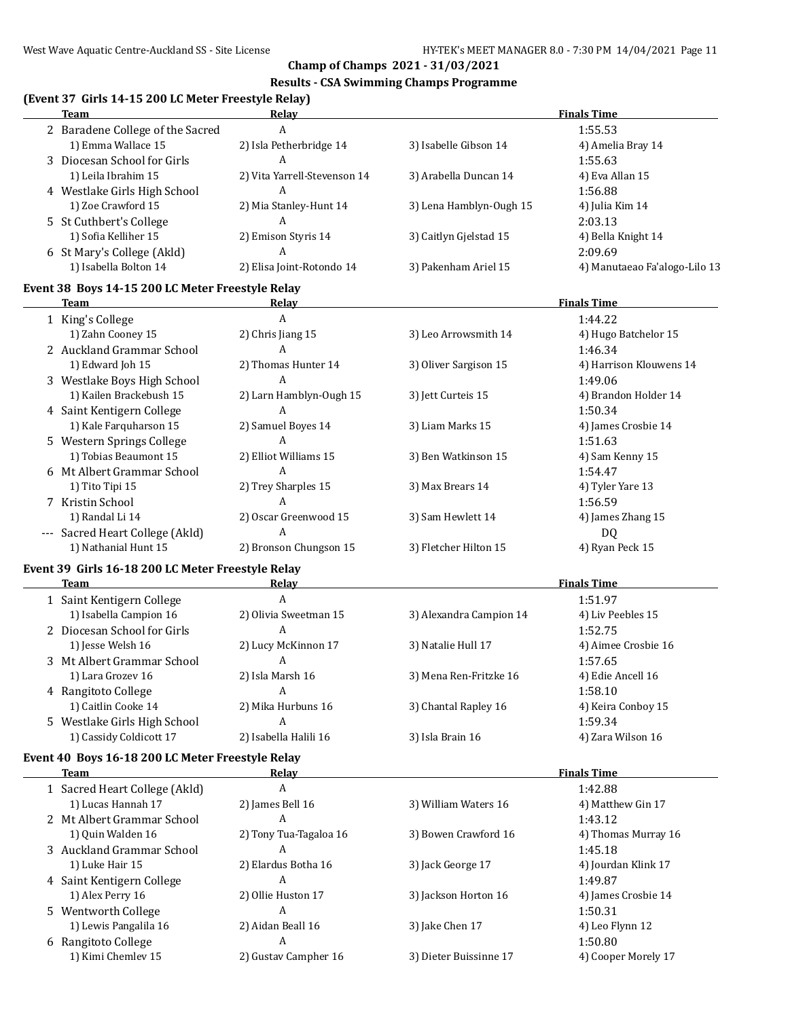### **Results - CSA Swimming Champs Programme**

# **(Event 37 Girls 14-15 200 LC Meter Freestyle Relay)**

| <b>Team</b>                                                     | Relay                        |                         | <b>Finals Time</b>            |
|-----------------------------------------------------------------|------------------------------|-------------------------|-------------------------------|
| 2 Baradene College of the Sacred                                | A                            |                         | 1:55.53                       |
| 1) Emma Wallace 15                                              | 2) Isla Petherbridge 14      | 3) Isabelle Gibson 14   | 4) Amelia Bray 14             |
| 3 Diocesan School for Girls                                     | A                            |                         | 1:55.63                       |
| 1) Leila Ibrahim 15                                             | 2) Vita Yarrell-Stevenson 14 | 3) Arabella Duncan 14   | 4) Eva Allan 15               |
| 4 Westlake Girls High School                                    | A                            |                         | 1:56.88                       |
| 1) Zoe Crawford 15                                              | 2) Mia Stanley-Hunt 14       | 3) Lena Hamblyn-Ough 15 | 4) Julia Kim 14               |
| 5 St Cuthbert's College                                         | A                            |                         | 2:03.13                       |
| 1) Sofia Kelliher 15                                            | 2) Emison Styris 14          | 3) Caitlyn Gjelstad 15  | 4) Bella Knight 14            |
| 6 St Mary's College (Akld)                                      | A                            |                         | 2:09.69                       |
| 1) Isabella Bolton 14                                           | 2) Elisa Joint-Rotondo 14    | 3) Pakenham Ariel 15    | 4) Manutaeao Fa'alogo-Lilo 13 |
| Event 38 Boys 14-15 200 LC Meter Freestyle Relay                |                              |                         |                               |
| Team                                                            | <b>Relay</b>                 |                         | <b>Finals Time</b>            |
| 1 King's College                                                | A                            |                         | 1:44.22                       |
| 1) Zahn Cooney 15                                               | 2) Chris Jiang 15            | 3) Leo Arrowsmith 14    | 4) Hugo Batchelor 15          |
| 2 Auckland Grammar School                                       | A                            |                         | 1:46.34                       |
| 1) Edward Joh 15                                                | 2) Thomas Hunter 14          | 3) Oliver Sargison 15   | 4) Harrison Klouwens 14       |
| 3 Westlake Boys High School                                     | $\overline{A}$               |                         | 1:49.06                       |
| 1) Kailen Brackebush 15                                         | 2) Larn Hamblyn-Ough 15      | 3) Jett Curteis 15      | 4) Brandon Holder 14          |
| 4 Saint Kentigern College                                       | A                            |                         | 1:50.34                       |
| 1) Kale Farquharson 15                                          | 2) Samuel Boyes 14           | 3) Liam Marks 15        | 4) James Crosbie 14           |
| 5 Western Springs College                                       | A                            |                         | 1:51.63                       |
| 1) Tobias Beaumont 15                                           | 2) Elliot Williams 15        | 3) Ben Watkinson 15     | 4) Sam Kenny 15               |
| 6 Mt Albert Grammar School                                      | $\mathsf{A}$                 |                         | 1:54.47                       |
| 1) Tito Tipi 15                                                 | 2) Trey Sharples 15          | 3) Max Brears 14        | 4) Tyler Yare 13              |
| 7 Kristin School                                                | A                            |                         | 1:56.59                       |
| 1) Randal Li 14                                                 | 2) Oscar Greenwood 15        | 3) Sam Hewlett 14       | 4) James Zhang 15             |
| --- Sacred Heart College (Akld)                                 | $\overline{A}$               |                         | DQ                            |
| 1) Nathanial Hunt 15                                            | 2) Bronson Chungson 15       | 3) Fletcher Hilton 15   | 4) Ryan Peck 15               |
| Event 39 Girls 16-18 200 LC Meter Freestyle Relay               |                              |                         |                               |
| Team                                                            | <b>Relay</b>                 |                         | <b>Finals Time</b>            |
| 1 Saint Kentigern College                                       | $\overline{A}$               |                         | 1:51.97                       |
| 1) Isabella Campion 16                                          | 2) Olivia Sweetman 15        | 3) Alexandra Campion 14 | 4) Liv Peebles 15             |
| 2 Diocesan School for Girls                                     | A                            |                         | 1:52.75                       |
| 1) Jesse Welsh 16                                               | 2) Lucy McKinnon 17          | 3) Natalie Hull 17      | 4) Aimee Crosbie 16           |
| 3 Mt Albert Grammar School                                      | A                            |                         | 1:57.65                       |
| 1) Lara Grozev 16                                               | 2) Isla Marsh 16             | 3) Mena Ren-Fritzke 16  | 4) Edie Ancell 16             |
| 4 Rangitoto College                                             | A                            |                         | 1:58.10                       |
| 1) Caitlin Cooke 14                                             | 2) Mika Hurbuns 16           | 3) Chantal Rapley 16    | 4) Keira Conboy 15            |
| 5 Westlake Girls High School                                    | A                            |                         | 1:59.34                       |
| 1) Cassidy Coldicott 17                                         | 2) Isabella Halili 16        | 3) Isla Brain 16        | 4) Zara Wilson 16             |
|                                                                 |                              |                         |                               |
| Event 40 Boys 16-18 200 LC Meter Freestyle Relay<br><b>Team</b> | Relay                        |                         | <b>Finals Time</b>            |
| 1 Sacred Heart College (Akld)                                   | A                            |                         | 1:42.88                       |
| 1) Lucas Hannah 17                                              | 2) James Bell 16             | 3) William Waters 16    | 4) Matthew Gin 17             |
| 2 Mt Albert Grammar School                                      | A                            |                         | 1:43.12                       |
| 1) Quin Walden 16                                               | 2) Tony Tua-Tagaloa 16       | 3) Bowen Crawford 16    | 4) Thomas Murray 16           |
| 3 Auckland Grammar School                                       | A                            |                         | 1:45.18                       |
| 1) Luke Hair 15                                                 | 2) Elardus Botha 16          | 3) Jack George 17       | 4) Jourdan Klink 17           |
| 4 Saint Kentigern College                                       | A                            |                         | 1:49.87                       |
| 1) Alex Perry 16                                                | 2) Ollie Huston 17           | 3) Jackson Horton 16    | 4) James Crosbie 14           |
| 5 Wentworth College                                             | A                            |                         | 1:50.31                       |
| 1) Lewis Pangalila 16                                           | 2) Aidan Beall 16            | 3) Jake Chen 17         | 4) Leo Flynn 12               |
| 6 Rangitoto College                                             | A                            |                         | 1:50.80                       |
| 1) Kimi Chemlev 15                                              | 2) Gustav Campher 16         | 3) Dieter Buissinne 17  | 4) Cooper Morely 17           |
|                                                                 |                              |                         |                               |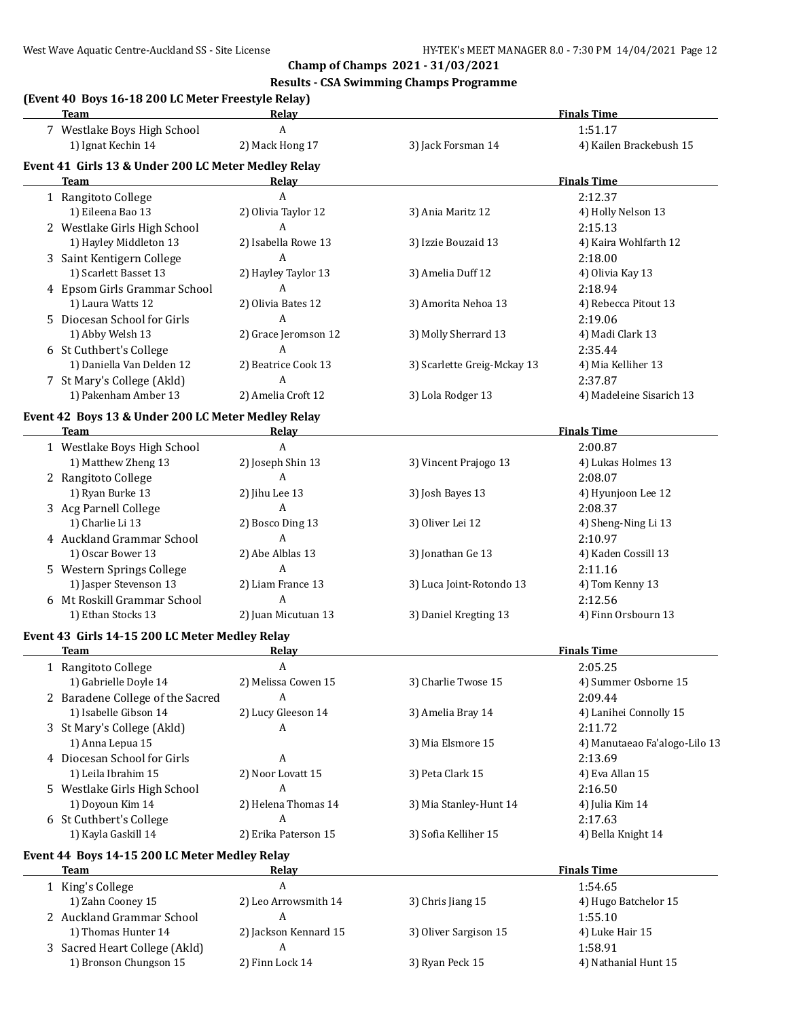## **Results - CSA Swimming Champs Programme**

## **(Event 40 Boys 16-18 200 LC Meter Freestyle Relay)**

| <b>Team</b>                                         | <b>Relay</b>             |                             | <b>Finals Time</b>             |
|-----------------------------------------------------|--------------------------|-----------------------------|--------------------------------|
| 7 Westlake Boys High School                         | A                        |                             | 1:51.17                        |
| 1) Ignat Kechin 14                                  | 2) Mack Hong 17          | 3) Jack Forsman 14          | 4) Kailen Brackebush 15        |
| Event 41 Girls 13 & Under 200 LC Meter Medley Relay |                          |                             |                                |
| <b>Team</b>                                         | Relay                    |                             | <b>Finals Time</b>             |
| 1 Rangitoto College<br>1) Eileena Bao 13            | A<br>2) Olivia Taylor 12 |                             | 2:12.37                        |
| 2 Westlake Girls High School                        | $\mathbf{A}$             | 3) Ania Maritz 12           | 4) Holly Nelson 13<br>2:15.13  |
| 1) Hayley Middleton 13                              | 2) Isabella Rowe 13      | 3) Izzie Bouzaid 13         | 4) Kaira Wohlfarth 12          |
| 3 Saint Kentigern College                           | $\overline{A}$           |                             | 2:18.00                        |
| 1) Scarlett Basset 13                               | 2) Hayley Taylor 13      | 3) Amelia Duff 12           | 4) Olivia Kay 13               |
| 4 Epsom Girls Grammar School                        | A                        |                             | 2:18.94                        |
| 1) Laura Watts 12                                   | 2) Olivia Bates 12       | 3) Amorita Nehoa 13         | 4) Rebecca Pitout 13           |
| 5 Diocesan School for Girls                         | A                        |                             | 2:19.06                        |
| 1) Abby Welsh 13                                    | 2) Grace Jeromson 12     | 3) Molly Sherrard 13        | 4) Madi Clark 13               |
| 6 St Cuthbert's College                             | A                        |                             | 2:35.44                        |
| 1) Daniella Van Delden 12                           | 2) Beatrice Cook 13      | 3) Scarlette Greig-Mckay 13 | 4) Mia Kelliher 13             |
| 7 St Mary's College (Akld)                          | A                        |                             | 2:37.87                        |
| 1) Pakenham Amber 13                                | 2) Amelia Croft 12       | 3) Lola Rodger 13           | 4) Madeleine Sisarich 13       |
| Event 42 Boys 13 & Under 200 LC Meter Medley Relay  |                          |                             |                                |
| Team                                                | Relay                    |                             | <b>Finals Time</b>             |
| 1 Westlake Boys High School                         | $\overline{A}$           |                             | 2:00.87                        |
| 1) Matthew Zheng 13                                 | 2) Joseph Shin 13        | 3) Vincent Prajogo 13       | 4) Lukas Holmes 13             |
| 2 Rangitoto College                                 | A                        |                             | 2:08.07                        |
| 1) Ryan Burke 13                                    | 2) Jihu Lee 13           | 3) Josh Bayes 13            | 4) Hyunjoon Lee 12             |
| 3 Acg Parnell College                               | A                        |                             | 2:08.37                        |
| 1) Charlie Li 13                                    | 2) Bosco Ding 13<br>A    | 3) Oliver Lei 12            | 4) Sheng-Ning Li 13            |
| 4 Auckland Grammar School<br>1) Oscar Bower 13      | 2) Abe Alblas 13         | 3) Jonathan Ge 13           | 2:10.97<br>4) Kaden Cossill 13 |
| 5 Western Springs College                           | $\overline{A}$           |                             | 2:11.16                        |
| 1) Jasper Stevenson 13                              | 2) Liam France 13        | 3) Luca Joint-Rotondo 13    | 4) Tom Kenny 13                |
| 6 Mt Roskill Grammar School                         | A                        |                             | 2:12.56                        |
| 1) Ethan Stocks 13                                  | 2) Juan Micutuan 13      | 3) Daniel Kregting 13       | 4) Finn Orsbourn 13            |
| Event 43 Girls 14-15 200 LC Meter Medley Relay      |                          |                             |                                |
| <b>Team</b>                                         | <u>Relav</u>             |                             | <b>Finals Time</b>             |
| 1 Rangitoto College                                 | A                        |                             | 2:05.25                        |
| 1) Gabrielle Doyle 14                               | 2) Melissa Cowen 15      | 3) Charlie Twose 15         | 4) Summer Osborne 15           |
| 2 Baradene College of the Sacred                    | A                        |                             | 2:09.44                        |
| 1) Isabelle Gibson 14                               | 2) Lucy Gleeson 14       | 3) Amelia Bray 14           | 4) Lanihei Connolly 15         |
| 3 St Mary's College (Akld)                          | A                        |                             | 2:11.72                        |
| 1) Anna Lepua 15                                    |                          | 3) Mia Elsmore 15           | 4) Manutaeao Fa'alogo-Lilo 13  |
| 4 Diocesan School for Girls                         | A                        |                             | 2:13.69                        |
| 1) Leila Ibrahim 15                                 | 2) Noor Lovatt 15        | 3) Peta Clark 15            | 4) Eva Allan 15                |
| 5 Westlake Girls High School                        | A                        |                             | 2:16.50                        |
| 1) Doyoun Kim 14                                    | 2) Helena Thomas 14      | 3) Mia Stanley-Hunt 14      | 4) Julia Kim 14                |
| 6 St Cuthbert's College                             | A                        |                             | 2:17.63                        |
| 1) Kayla Gaskill 14                                 | 2) Erika Paterson 15     | 3) Sofia Kelliher 15        | 4) Bella Knight 14             |
| Event 44 Boys 14-15 200 LC Meter Medley Relay       |                          |                             |                                |
| Team<br>1 King's College                            | <u>Relav</u><br>A        |                             | <b>Finals Time</b><br>1:54.65  |
| 1) Zahn Cooney 15                                   | 2) Leo Arrowsmith 14     | 3) Chris Jiang 15           | 4) Hugo Batchelor 15           |
| 2 Auckland Grammar School                           | A                        |                             | 1:55.10                        |
| 1) Thomas Hunter 14                                 | 2) Jackson Kennard 15    | 3) Oliver Sargison 15       | 4) Luke Hair 15                |
| 3 Sacred Heart College (Akld)                       | A                        |                             | 1:58.91                        |
| 1) Bronson Chungson 15                              | 2) Finn Lock 14          | 3) Ryan Peck 15             | 4) Nathanial Hunt 15           |
|                                                     |                          |                             |                                |